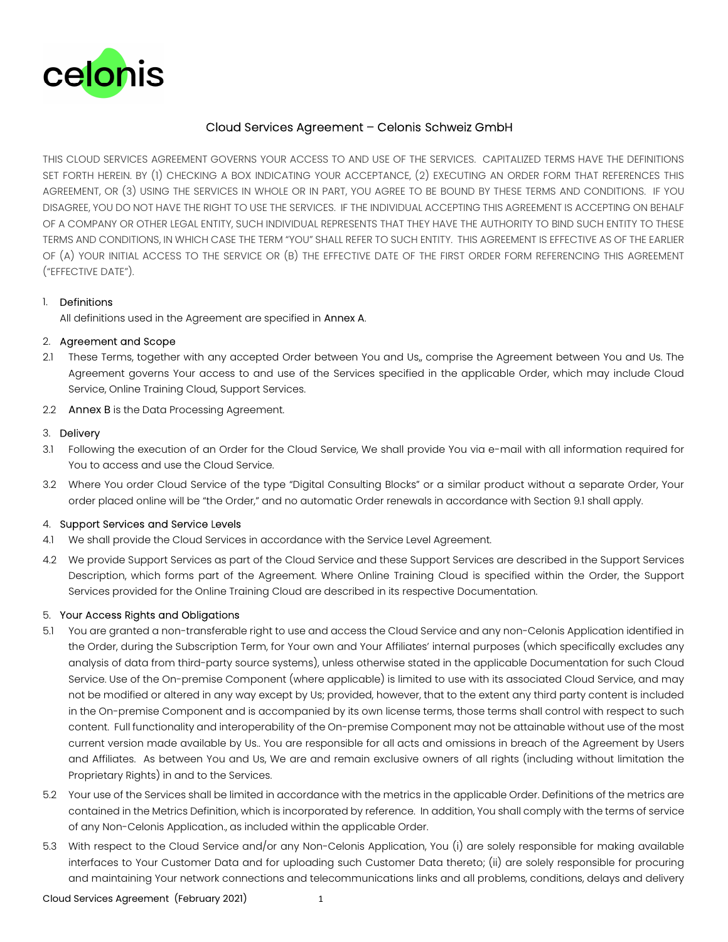

# Cloud Services Agreement – Celonis Schweiz GmbH

THIS CLOUD SERVICES AGREEMENT GOVERNS YOUR ACCESS TO AND USE OF THE SERVICES. CAPITALIZED TERMS HAVE THE DEFINITIONS SET FORTH HEREIN. BY (1) CHECKING A BOX INDICATING YOUR ACCEPTANCE, (2) EXECUTING AN ORDER FORM THAT REFERENCES THIS AGREEMENT, OR (3) USING THE SERVICES IN WHOLE OR IN PART, YOU AGREE TO BE BOUND BY THESE TERMS AND CONDITIONS. IF YOU DISAGREE, YOU DO NOT HAVE THE RIGHT TO USE THE SERVICES. IF THE INDIVIDUAL ACCEPTING THIS AGREEMENT IS ACCEPTING ON BEHALF OF A COMPANY OR OTHER LEGAL ENTITY, SUCH INDIVIDUAL REPRESENTS THAT THEY HAVE THE AUTHORITY TO BIND SUCH ENTITY TO THESE TERMS AND CONDITIONS, IN WHICH CASE THE TERM "YOU" SHALL REFER TO SUCH ENTITY. THIS AGREEMENT IS EFFECTIVE AS OF THE EARLIER OF (A) YOUR INITIAL ACCESS TO THE SERVICE OR (B) THE EFFECTIVE DATE OF THE FIRST ORDER FORM REFERENCING THIS AGREEMENT ("EFFECTIVE DATE").

### 1. Definitions

All definitions used in the Agreement are specified in Annex A.

### 2. Agreement and Scope

- 2.1 These Terms, together with any accepted Order between You and Us,, comprise the Agreement between You and Us. The Agreement governs Your access to and use of the Services specified in the applicable Order, which may include Cloud Service, Online Training Cloud, Support Services.
- 2.2 Annex B is the Data Processing Agreement.

### 3. Delivery

- 3.1 Following the execution of an Order for the Cloud Service, We shall provide You via e-mail with all information required for You to access and use the Cloud Service.
- 3.2 Where You order Cloud Service of the type "Digital Consulting Blocks" or a similar product without a separate Order, Your order placed online will be "the Order," and no automatic Order renewals in accordance with Section 9.1 shall apply.

### 4. Support Services and Service Levels

- 4.1 We shall provide the Cloud Services in accordance with the Service Level Agreement.
- 4.2 We provide Support Services as part of the Cloud Service and these Support Services are described in the Support Services Description, which forms part of the Agreement. Where Online Training Cloud is specified within the Order, the Support Services provided for the Online Training Cloud are described in its respective Documentation.

### 5. Your Access Rights and Obligations

- 5.1 You are granted a non-transferable right to use and access the Cloud Service and any non-Celonis Application identified in the Order, during the Subscription Term, for Your own and Your Affiliates' internal purposes (which specifically excludes any analysis of data from third-party source systems), unless otherwise stated in the applicable Documentation for such Cloud Service. Use of the On-premise Component (where applicable) is limited to use with its associated Cloud Service, and may not be modified or altered in any way except by Us; provided, however, that to the extent any third party content is included in the On-premise Component and is accompanied by its own license terms, those terms shall control with respect to such content. Full functionality and interoperability of the On-premise Component may not be attainable without use of the most current version made available by Us.. You are responsible for all acts and omissions in breach of the Agreement by Users and Affiliates. As between You and Us, We are and remain exclusive owners of all rights (including without limitation the Proprietary Rights) in and to the Services.
- 5.2 Your use of the Services shall be limited in accordance with the metrics in the applicable Order. Definitions of the metrics are contained in the Metrics Definition, which is incorporated by reference. In addition, You shall comply with the terms of service of any Non-Celonis Application., as included within the applicable Order.
- 5.3 With respect to the Cloud Service and/or any Non-Celonis Application, You (i) are solely responsible for making available interfaces to Your Customer Data and for uploading such Customer Data thereto; (ii) are solely responsible for procuring and maintaining Your network connections and telecommunications links and all problems, conditions, delays and delivery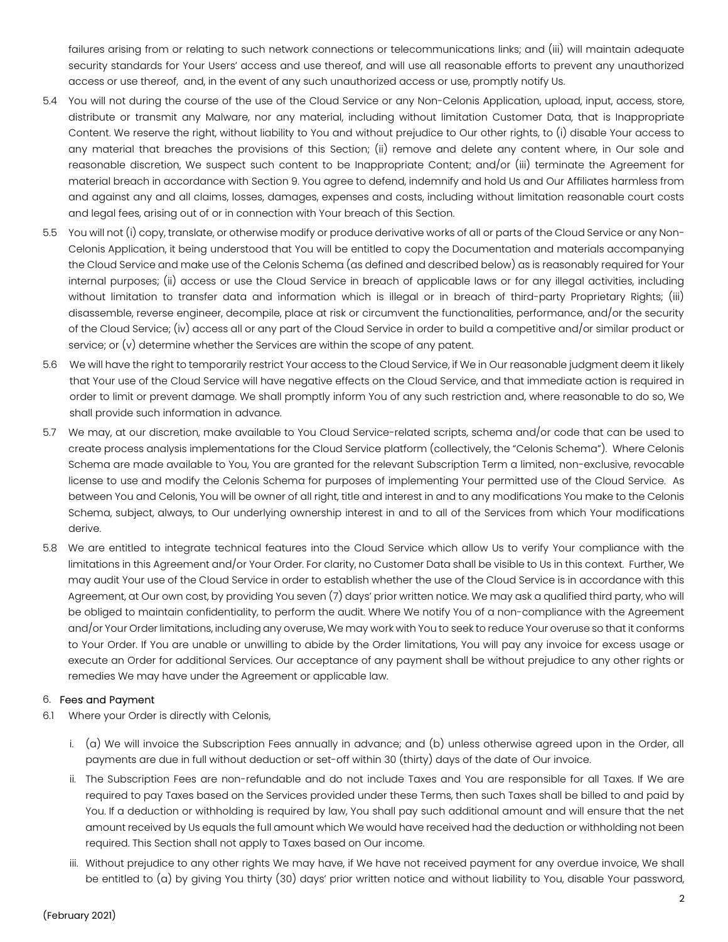failures arising from or relating to such network connections or telecommunications links; and (iii) will maintain adequate security standards for Your Users' access and use thereof, and will use all reasonable efforts to prevent any unauthorized access or use thereof, and, in the event of any such unauthorized access or use, promptly notify Us.

- 5.4 You will not during the course of the use of the Cloud Service or any Non-Celonis Application, upload, input, access, store, distribute or transmit any Malware, nor any material, including without limitation Customer Data, that is Inappropriate Content. We reserve the right, without liability to You and without prejudice to Our other rights, to (i) disable Your access to any material that breaches the provisions of this Section; (ii) remove and delete any content where, in Our sole and reasonable discretion, We suspect such content to be Inappropriate Content; and/or (iii) terminate the Agreement for material breach in accordance with Section 9. You agree to defend, indemnify and hold Us and Our Affiliates harmless from and against any and all claims, losses, damages, expenses and costs, including without limitation reasonable court costs and legal fees, arising out of or in connection with Your breach of this Section.
- 5.5 You will not (i) copy, translate, or otherwise modify or produce derivative works of all or parts of the Cloud Service or any Non-Celonis Application, it being understood that You will be entitled to copy the Documentation and materials accompanying the Cloud Service and make use of the Celonis Schema (as defined and described below) as is reasonably required for Your internal purposes; (ii) access or use the Cloud Service in breach of applicable laws or for any illegal activities, including without limitation to transfer data and information which is illegal or in breach of third-party Proprietary Rights; (iii) disassemble, reverse engineer, decompile, place at risk or circumvent the functionalities, performance, and/or the security of the Cloud Service; (iv) access all or any part of the Cloud Service in order to build a competitive and/or similar product or service; or (v) determine whether the Services are within the scope of any patent.
- 5.6 We will have the right to temporarily restrict Your access to the Cloud Service, if We in Our reasonable judgment deem it likely that Your use of the Cloud Service will have negative effects on the Cloud Service, and that immediate action is required in order to limit or prevent damage. We shall promptly inform You of any such restriction and, where reasonable to do so, We shall provide such information in advance.
- 5.7 We may, at our discretion, make available to You Cloud Service-related scripts, schema and/or code that can be used to create process analysis implementations for the Cloud Service platform (collectively, the "Celonis Schema"). Where Celonis Schema are made available to You, You are granted for the relevant Subscription Term a limited, non-exclusive, revocable license to use and modify the Celonis Schema for purposes of implementing Your permitted use of the Cloud Service. As between You and Celonis, You will be owner of all right, title and interest in and to any modifications You make to the Celonis Schema, subject, always, to Our underlying ownership interest in and to all of the Services from which Your modifications derive.
- 5.8 We are entitled to integrate technical features into the Cloud Service which allow Us to verify Your compliance with the limitations in this Agreement and/or Your Order. For clarity, no Customer Data shall be visible to Us in this context. Further, We may audit Your use of the Cloud Service in order to establish whether the use of the Cloud Service is in accordance with this Agreement, at Our own cost, by providing You seven (7) days' prior written notice. We may ask a qualified third party, who will be obliged to maintain confidentiality, to perform the audit. Where We notify You of a non-compliance with the Agreement and/or Your Order limitations, including any overuse, We may work with You to seek to reduce Your overuse so that it conforms to Your Order. If You are unable or unwilling to abide by the Order limitations, You will pay any invoice for excess usage or execute an Order for additional Services. Our acceptance of any payment shall be without prejudice to any other rights or remedies We may have under the Agreement or applicable law.

### 6. Fees and Payment

- 6.1 Where your Order is directly with Celonis,
	- i. (a) We will invoice the Subscription Fees annually in advance; and (b) unless otherwise agreed upon in the Order, all payments are due in full without deduction or set-off within 30 (thirty) days of the date of Our invoice.
	- ii. The Subscription Fees are non-refundable and do not include Taxes and You are responsible for all Taxes. If We are required to pay Taxes based on the Services provided under these Terms, then such Taxes shall be billed to and paid by You. If a deduction or withholding is required by law, You shall pay such additional amount and will ensure that the net amount received by Us equals the full amount which We would have received had the deduction or withholding not been required. This Section shall not apply to Taxes based on Our income.
	- iii. Without prejudice to any other rights We may have, if We have not received payment for any overdue invoice, We shall be entitled to (a) by giving You thirty (30) days' prior written notice and without liability to You, disable Your password,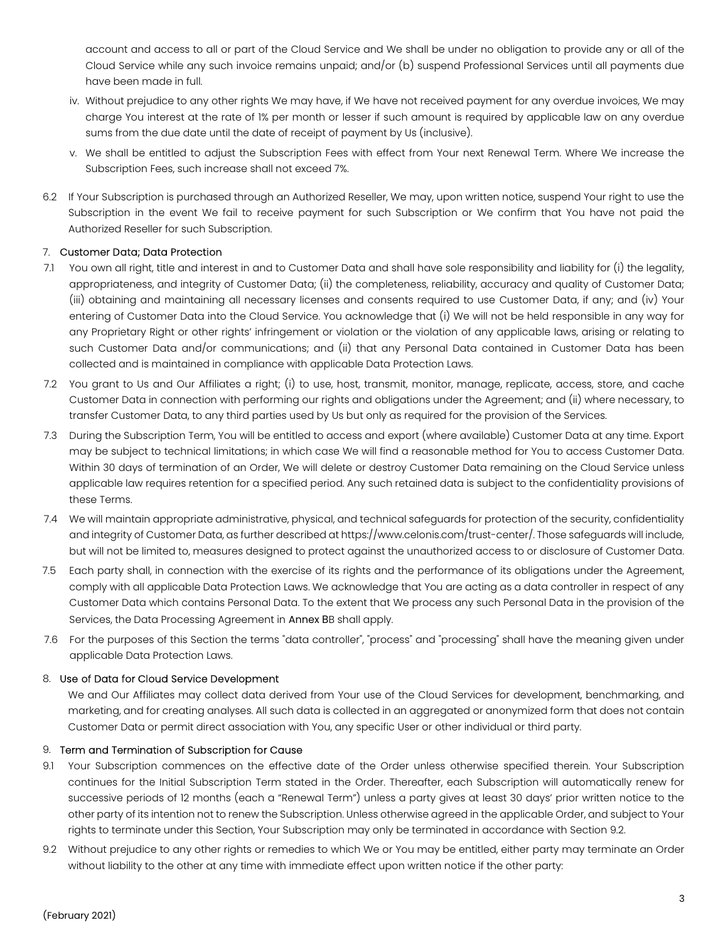account and access to all or part of the Cloud Service and We shall be under no obligation to provide any or all of the Cloud Service while any such invoice remains unpaid; and/or (b) suspend Professional Services until all payments due have been made in full.

- iv. Without prejudice to any other rights We may have, if We have not received payment for any overdue invoices, We may charge You interest at the rate of 1% per month or lesser if such amount is required by applicable law on any overdue sums from the due date until the date of receipt of payment by Us (inclusive).
- v. We shall be entitled to adjust the Subscription Fees with effect from Your next Renewal Term. Where We increase the Subscription Fees, such increase shall not exceed 7%.
- 6.2 If Your Subscription is purchased through an Authorized Reseller, We may, upon written notice, suspend Your right to use the Subscription in the event We fail to receive payment for such Subscription or We confirm that You have not paid the Authorized Reseller for such Subscription.

# 7. Customer Data; Data Protection

- 7.1 You own all right, title and interest in and to Customer Data and shall have sole responsibility and liability for (i) the legality, appropriateness, and integrity of Customer Data; (ii) the completeness, reliability, accuracy and quality of Customer Data; (iii) obtaining and maintaining all necessary licenses and consents required to use Customer Data, if any; and (iv) Your entering of Customer Data into the Cloud Service. You acknowledge that (i) We will not be held responsible in any way for any Proprietary Right or other rights' infringement or violation or the violation of any applicable laws, arising or relating to such Customer Data and/or communications; and (ii) that any Personal Data contained in Customer Data has been collected and is maintained in compliance with applicable Data Protection Laws.
- 7.2 You grant to Us and Our Affiliates a right; (i) to use, host, transmit, monitor, manage, replicate, access, store, and cache Customer Data in connection with performing our rights and obligations under the Agreement; and (ii) where necessary, to transfer Customer Data, to any third parties used by Us but only as required for the provision of the Services.
- 7.3 During the Subscription Term, You will be entitled to access and export (where available) Customer Data at any time. Export may be subject to technical limitations; in which case We will find a reasonable method for You to access Customer Data. Within 30 days of termination of an Order, We will delete or destroy Customer Data remaining on the Cloud Service unless applicable law requires retention for a specified period. Any such retained data is subject to the confidentiality provisions of these Terms.
- 7.4 We will maintain appropriate administrative, physical, and technical safeguards for protection of the security, confidentiality and integrity of Customer Data, as further described at https://www.celonis.com/trust-center/. Those safeguards will include, but will not be limited to, measures designed to protect against the unauthorized access to or disclosure of Customer Data.
- 7.5 Each party shall, in connection with the exercise of its rights and the performance of its obligations under the Agreement, comply with all applicable Data Protection Laws. We acknowledge that You are acting as a data controller in respect of any Customer Data which contains Personal Data. To the extent that We process any such Personal Data in the provision of the Services, the Data Processing Agreement in Annex BB shall apply.
- 7.6 For the purposes of this Section the terms "data controller", "process" and "processing" shall have the meaning given under applicable Data Protection Laws.

### 8. Use of Data for Cloud Service Development

We and Our Affiliates may collect data derived from Your use of the Cloud Services for development, benchmarking, and marketing, and for creating analyses. All such data is collected in an aggregated or anonymized form that does not contain Customer Data or permit direct association with You, any specific User or other individual or third party.

### 9. Term and Termination of Subscription for Cause

- 9.1 Your Subscription commences on the effective date of the Order unless otherwise specified therein. Your Subscription continues for the Initial Subscription Term stated in the Order. Thereafter, each Subscription will automatically renew for successive periods of 12 months (each a "Renewal Term") unless a party gives at least 30 days' prior written notice to the other party of its intention not to renew the Subscription. Unless otherwise agreed in the applicable Order, and subject to Your rights to terminate under this Section, Your Subscription may only be terminated in accordance with Section 9.2.
- 9.2 Without prejudice to any other rights or remedies to which We or You may be entitled, either party may terminate an Order without liability to the other at any time with immediate effect upon written notice if the other party: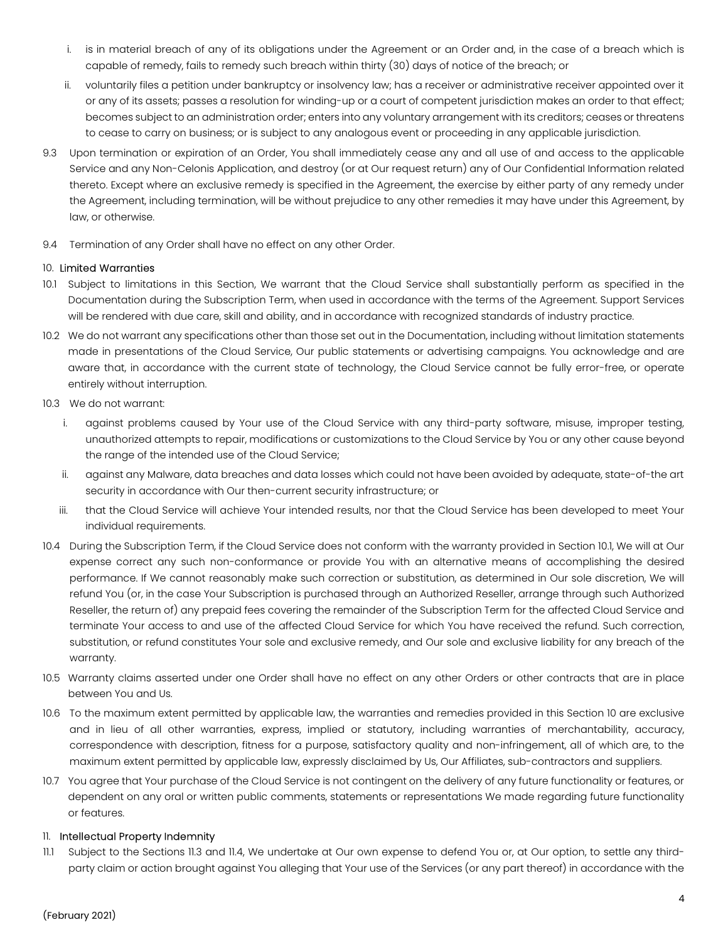- i. is in material breach of any of its obligations under the Agreement or an Order and, in the case of a breach which is capable of remedy, fails to remedy such breach within thirty (30) days of notice of the breach; or
- ii. voluntarily files a petition under bankruptcy or insolvency law; has a receiver or administrative receiver appointed over it or any of its assets; passes a resolution for winding-up or a court of competent jurisdiction makes an order to that effect; becomes subject to an administration order; enters into any voluntary arrangement with its creditors; ceases or threatens to cease to carry on business; or is subject to any analogous event or proceeding in any applicable jurisdiction.
- 9.3 Upon termination or expiration of an Order, You shall immediately cease any and all use of and access to the applicable Service and any Non-Celonis Application, and destroy (or at Our request return) any of Our Confidential Information related thereto. Except where an exclusive remedy is specified in the Agreement, the exercise by either party of any remedy under the Agreement, including termination, will be without prejudice to any other remedies it may have under this Agreement, by law, or otherwise.
- 9.4 Termination of any Order shall have no effect on any other Order.

### 10. Limited Warranties

- 10.1 Subject to limitations in this Section, We warrant that the Cloud Service shall substantially perform as specified in the Documentation during the Subscription Term, when used in accordance with the terms of the Agreement. Support Services will be rendered with due care, skill and ability, and in accordance with recognized standards of industry practice.
- 10.2 We do not warrant any specifications other than those set out in the Documentation, including without limitation statements made in presentations of the Cloud Service, Our public statements or advertising campaigns. You acknowledge and are aware that, in accordance with the current state of technology, the Cloud Service cannot be fully error-free, or operate entirely without interruption.
- 10.3 We do not warrant:
	- i. against problems caused by Your use of the Cloud Service with any third-party software, misuse, improper testing, unauthorized attempts to repair, modifications or customizations to the Cloud Service by You or any other cause beyond the range of the intended use of the Cloud Service;
	- ii. against any Malware, data breaches and data losses which could not have been avoided by adequate, state-of-the art security in accordance with Our then-current security infrastructure; or
	- iii. that the Cloud Service will achieve Your intended results, nor that the Cloud Service has been developed to meet Your individual requirements.
- 10.4 During the Subscription Term, if the Cloud Service does not conform with the warranty provided in Section 10.1, We will at Our expense correct any such non-conformance or provide You with an alternative means of accomplishing the desired performance. If We cannot reasonably make such correction or substitution, as determined in Our sole discretion, We will refund You (or, in the case Your Subscription is purchased through an Authorized Reseller, arrange through such Authorized Reseller, the return of) any prepaid fees covering the remainder of the Subscription Term for the affected Cloud Service and terminate Your access to and use of the affected Cloud Service for which You have received the refund. Such correction, substitution, or refund constitutes Your sole and exclusive remedy, and Our sole and exclusive liability for any breach of the warranty.
- 10.5 Warranty claims asserted under one Order shall have no effect on any other Orders or other contracts that are in place between You and Us.
- 10.6 To the maximum extent permitted by applicable law, the warranties and remedies provided in this Section 10 are exclusive and in lieu of all other warranties, express, implied or statutory, including warranties of merchantability, accuracy, correspondence with description, fitness for a purpose, satisfactory quality and non-infringement, all of which are, to the maximum extent permitted by applicable law, expressly disclaimed by Us, Our Affiliates, sub-contractors and suppliers.
- 10.7 You agree that Your purchase of the Cloud Service is not contingent on the delivery of any future functionality or features, or dependent on any oral or written public comments, statements or representations We made regarding future functionality or features.

### 11. Intellectual Property Indemnity

11.1 Subject to the Sections 11.3 and 11.4, We undertake at Our own expense to defend You or, at Our option, to settle any thirdparty claim or action brought against You alleging that Your use of the Services (or any part thereof) in accordance with the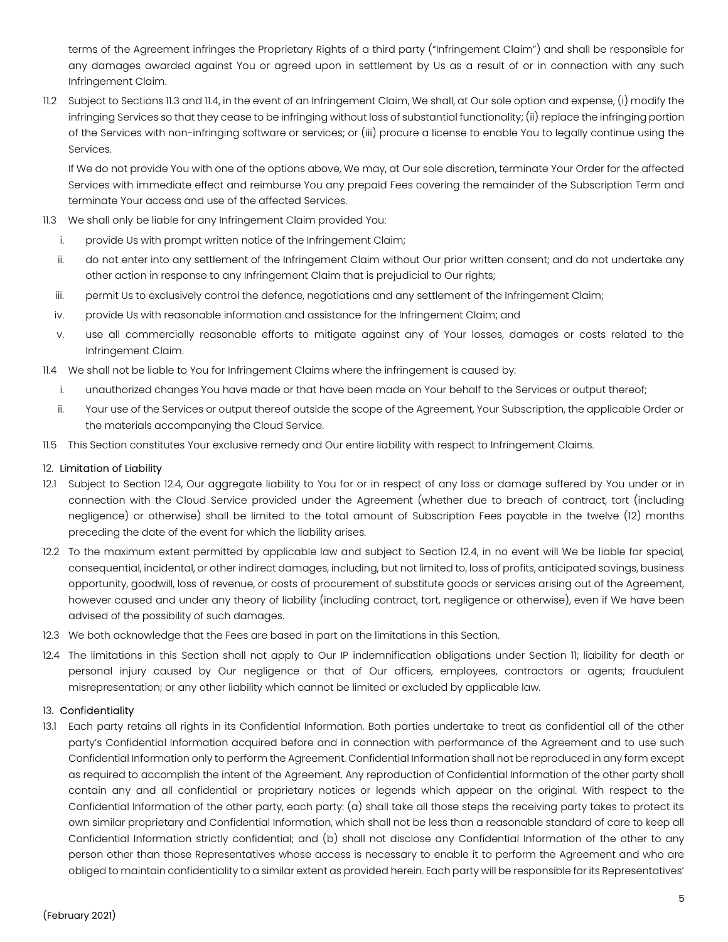terms of the Agreement infringes the Proprietary Rights of a third party ("Infringement Claim") and shall be responsible for any damages awarded against You or agreed upon in settlement by Us as a result of or in connection with any such Infringement Claim.

11.2 Subject to Sections 11.3 and 11.4, in the event of an Infringement Claim, We shall, at Our sole option and expense, (i) modify the infringing Services so that they cease to be infringing without loss of substantial functionality; (ii) replace the infringing portion of the Services with non-infringing software or services; or (iii) procure a license to enable You to legally continue using the Services.

If We do not provide You with one of the options above, We may, at Our sole discretion, terminate Your Order for the affected Services with immediate effect and reimburse You any prepaid Fees covering the remainder of the Subscription Term and terminate Your access and use of the affected Services.

- 11.3 We shall only be liable for any Infringement Claim provided You:
	- i. provide Us with prompt written notice of the Infringement Claim;
	- ii. do not enter into any settlement of the Infringement Claim without Our prior written consent; and do not undertake any other action in response to any Infringement Claim that is prejudicial to Our rights;
	- iii. permit Us to exclusively control the defence, negotiations and any settlement of the Infringement Claim;
	- iv. provide Us with reasonable information and assistance for the Infringement Claim; and
	- v. use all commercially reasonable efforts to mitigate against any of Your losses, damages or costs related to the Infringement Claim.
- 11.4 We shall not be liable to You for Infringement Claims where the infringement is caused by:
	- i. unauthorized changes You have made or that have been made on Your behalf to the Services or output thereof;
	- ii. Your use of the Services or output thereof outside the scope of the Agreement, Your Subscription, the applicable Order or the materials accompanying the Cloud Service.
- 11.5 This Section constitutes Your exclusive remedy and Our entire liability with respect to Infringement Claims.

### 12. Limitation of Liability

- 12.1 Subject to Section 12.4, Our aggregate liability to You for or in respect of any loss or damage suffered by You under or in connection with the Cloud Service provided under the Agreement (whether due to breach of contract, tort (including negligence) or otherwise) shall be limited to the total amount of Subscription Fees payable in the twelve (12) months preceding the date of the event for which the liability arises.
- 12.2 To the maximum extent permitted by applicable law and subject to Section 12.4, in no event will We be liable for special, consequential, incidental, or other indirect damages, including, but not limited to, loss of profits, anticipated savings, business opportunity, goodwill, loss of revenue, or costs of procurement of substitute goods or services arising out of the Agreement, however caused and under any theory of liability (including contract, tort, negligence or otherwise), even if We have been advised of the possibility of such damages.
- 12.3 We both acknowledge that the Fees are based in part on the limitations in this Section.
- 12.4 The limitations in this Section shall not apply to Our IP indemnification obligations under Section 11; liability for death or personal injury caused by Our negligence or that of Our officers, employees, contractors or agents; fraudulent misrepresentation; or any other liability which cannot be limited or excluded by applicable law.

### 13. Confidentiality

13.1 Each party retains all rights in its Confidential Information. Both parties undertake to treat as confidential all of the other party's Confidential Information acquired before and in connection with performance of the Agreement and to use such Confidential Information only to perform the Agreement. Confidential Information shall not be reproduced in any form except as required to accomplish the intent of the Agreement. Any reproduction of Confidential Information of the other party shall contain any and all confidential or proprietary notices or legends which appear on the original. With respect to the Confidential Information of the other party, each party: (a) shall take all those steps the receiving party takes to protect its own similar proprietary and Confidential Information, which shall not be less than a reasonable standard of care to keep all Confidential Information strictly confidential; and (b) shall not disclose any Confidential Information of the other to any person other than those Representatives whose access is necessary to enable it to perform the Agreement and who are obliged to maintain confidentiality to a similar extent as provided herein. Each party will be responsible for its Representatives'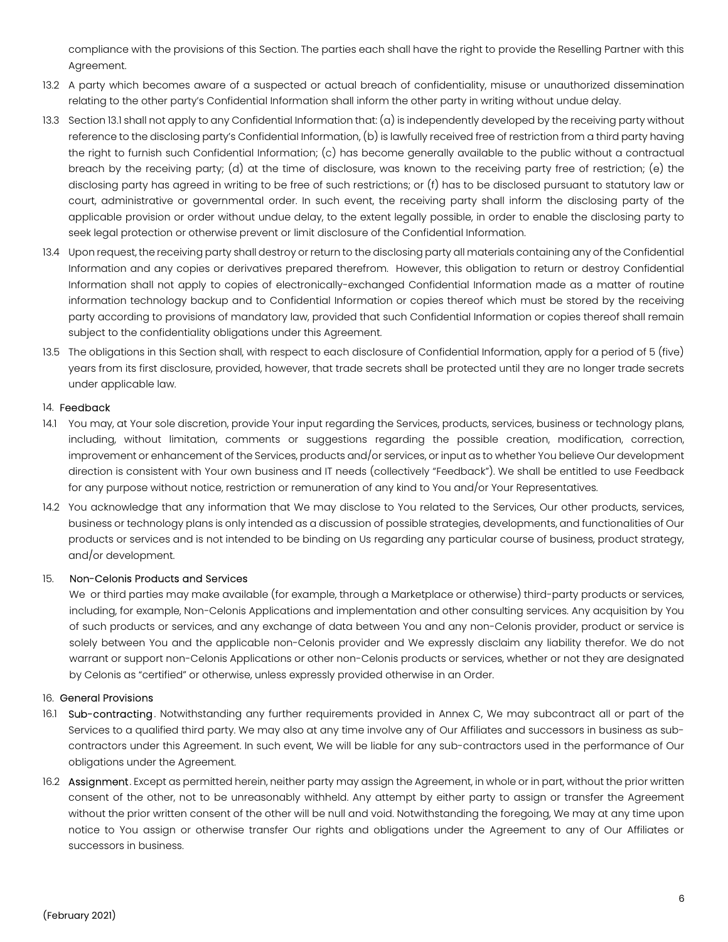compliance with the provisions of this Section. The parties each shall have the right to provide the Reselling Partner with this Agreement.

- 13.2 A party which becomes aware of a suspected or actual breach of confidentiality, misuse or unauthorized dissemination relating to the other party's Confidential Information shall inform the other party in writing without undue delay.
- 13.3 Section 13.1 shall not apply to any Confidential Information that: (a) is independently developed by the receiving party without reference to the disclosing party's Confidential Information, (b) is lawfully received free of restriction from a third party having the right to furnish such Confidential Information; (c) has become generally available to the public without a contractual breach by the receiving party; (d) at the time of disclosure, was known to the receiving party free of restriction; (e) the disclosing party has agreed in writing to be free of such restrictions; or (f) has to be disclosed pursuant to statutory law or court, administrative or governmental order. In such event, the receiving party shall inform the disclosing party of the applicable provision or order without undue delay, to the extent legally possible, in order to enable the disclosing party to seek legal protection or otherwise prevent or limit disclosure of the Confidential Information.
- 13.4 Upon request, the receiving party shall destroy or return to the disclosing party all materials containing any of the Confidential Information and any copies or derivatives prepared therefrom. However, this obligation to return or destroy Confidential Information shall not apply to copies of electronically-exchanged Confidential Information made as a matter of routine information technology backup and to Confidential Information or copies thereof which must be stored by the receiving party according to provisions of mandatory law, provided that such Confidential Information or copies thereof shall remain subject to the confidentiality obligations under this Agreement.
- 13.5 The obligations in this Section shall, with respect to each disclosure of Confidential Information, apply for a period of 5 (five) years from its first disclosure, provided, however, that trade secrets shall be protected until they are no longer trade secrets under applicable law.

### 14. Feedback

- 14.1 You may, at Your sole discretion, provide Your input regarding the Services, products, services, business or technology plans, including, without limitation, comments or suggestions regarding the possible creation, modification, correction, improvement or enhancement of the Services, products and/or services, or input as to whether You believe Our development direction is consistent with Your own business and IT needs (collectively "Feedback"). We shall be entitled to use Feedback for any purpose without notice, restriction or remuneration of any kind to You and/or Your Representatives.
- 14.2 You acknowledge that any information that We may disclose to You related to the Services, Our other products, services, business or technology plans is only intended as a discussion of possible strategies, developments, and functionalities of Our products or services and is not intended to be binding on Us regarding any particular course of business, product strategy, and/or development.

### 15. Non-Celonis Products and Services

We or third parties may make available (for example, through a Marketplace or otherwise) third-party products or services, including, for example, Non-Celonis Applications and implementation and other consulting services. Any acquisition by You of such products or services, and any exchange of data between You and any non-Celonis provider, product or service is solely between You and the applicable non-Celonis provider and We expressly disclaim any liability therefor. We do not warrant or support non-Celonis Applications or other non-Celonis products or services, whether or not they are designated by Celonis as "certified" or otherwise, unless expressly provided otherwise in an Order.

### 16. General Provisions

- 16.1 Sub-contracting. Notwithstanding any further requirements provided in Annex C, We may subcontract all or part of the Services to a qualified third party. We may also at any time involve any of Our Affiliates and successors in business as subcontractors under this Agreement. In such event, We will be liable for any sub-contractors used in the performance of Our obligations under the Agreement.
- 16.2 Assignment. Except as permitted herein, neither party may assign the Agreement, in whole or in part, without the prior written consent of the other, not to be unreasonably withheld. Any attempt by either party to assign or transfer the Agreement without the prior written consent of the other will be null and void. Notwithstanding the foregoing, We may at any time upon notice to You assign or otherwise transfer Our rights and obligations under the Agreement to any of Our Affiliates or successors in business.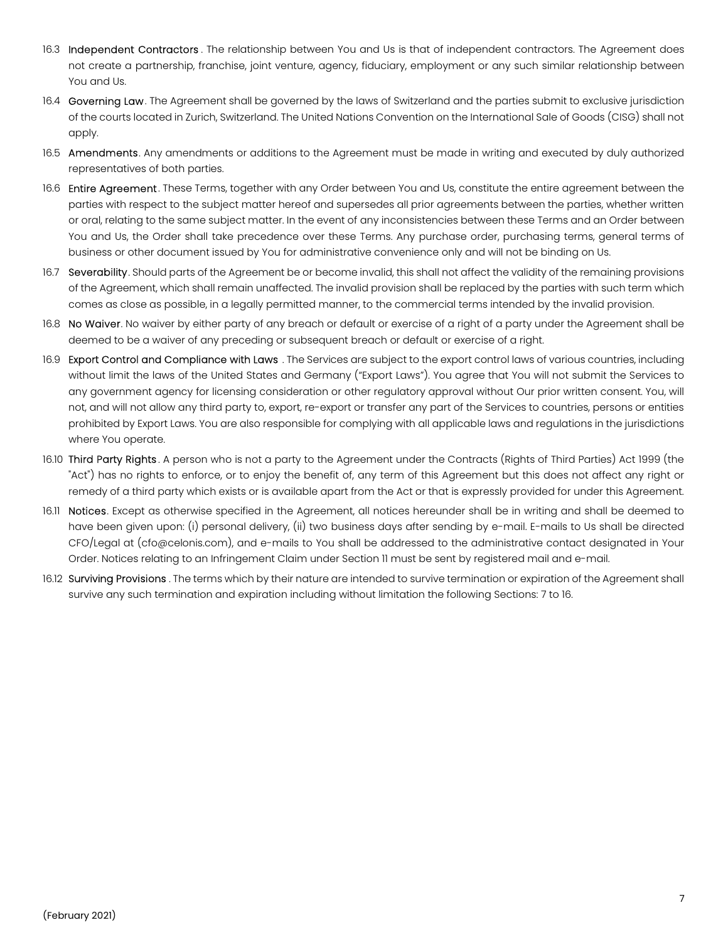- 16.3 Independent Contractors. The relationship between You and Us is that of independent contractors. The Agreement does not create a partnership, franchise, joint venture, agency, fiduciary, employment or any such similar relationship between You and Us.
- 16.4 Governing Law. The Agreement shall be governed by the laws of Switzerland and the parties submit to exclusive jurisdiction of the courts located in Zurich, Switzerland. The United Nations Convention on the International Sale of Goods (CISG) shall not apply.
- 16.5 Amendments. Any amendments or additions to the Agreement must be made in writing and executed by duly authorized representatives of both parties.
- 16.6 Entire Agreement. These Terms, together with any Order between You and Us, constitute the entire agreement between the parties with respect to the subject matter hereof and supersedes all prior agreements between the parties, whether written or oral, relating to the same subject matter. In the event of any inconsistencies between these Terms and an Order between You and Us, the Order shall take precedence over these Terms. Any purchase order, purchasing terms, general terms of business or other document issued by You for administrative convenience only and will not be binding on Us.
- 16.7 Severability. Should parts of the Agreement be or become invalid, this shall not affect the validity of the remaining provisions of the Agreement, which shall remain unaffected. The invalid provision shall be replaced by the parties with such term which comes as close as possible, in a legally permitted manner, to the commercial terms intended by the invalid provision.
- 16.8 No Waiver. No waiver by either party of any breach or default or exercise of a right of a party under the Agreement shall be deemed to be a waiver of any preceding or subsequent breach or default or exercise of a right.
- 16.9 Export Control and Compliance with Laws . The Services are subject to the export control laws of various countries, including without limit the laws of the United States and Germany ("Export Laws"). You agree that You will not submit the Services to any government agency for licensing consideration or other regulatory approval without Our prior written consent. You, will not, and will not allow any third party to, export, re-export or transfer any part of the Services to countries, persons or entities prohibited by Export Laws. You are also responsible for complying with all applicable laws and regulations in the jurisdictions where You operate.
- 16.10 Third Party Rights. A person who is not a party to the Agreement under the Contracts (Rights of Third Parties) Act 1999 (the "Act") has no rights to enforce, or to enjoy the benefit of, any term of this Agreement but this does not affect any right or remedy of a third party which exists or is available apart from the Act or that is expressly provided for under this Agreement.
- 16.11 Notices. Except as otherwise specified in the Agreement, all notices hereunder shall be in writing and shall be deemed to have been given upon: (i) personal delivery, (ii) two business days after sending by e-mail. E-mails to Us shall be directed CFO/Legal at (cfo@celonis.com), and e-mails to You shall be addressed to the administrative contact designated in Your Order. Notices relating to an Infringement Claim under Section 11 must be sent by registered mail and e-mail.
- 16.12 Surviving Provisions. The terms which by their nature are intended to survive termination or expiration of the Agreement shall survive any such termination and expiration including without limitation the following Sections: 7 to 16.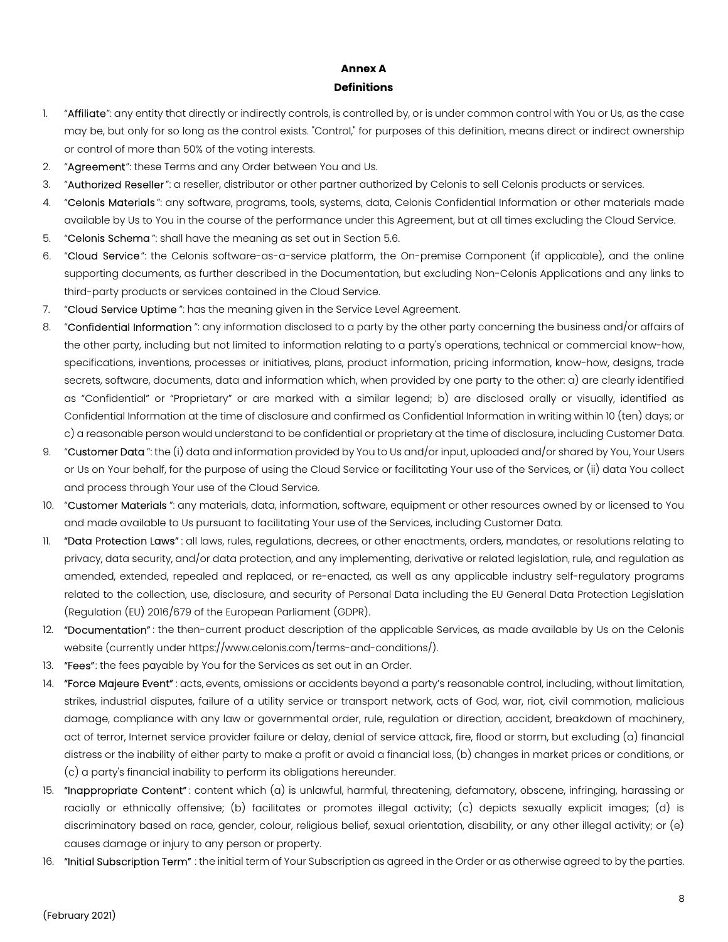# Annex A **Definitions**

- 1. "Affiliate": any entity that directly or indirectly controls, is controlled by, or is under common control with You or Us, as the case may be, but only for so long as the control exists. "Control," for purposes of this definition, means direct or indirect ownership or control of more than 50% of the voting interests.
- 2. "**Agreement**": these Terms and any Order between You and Us.
- 3. "Authorized Reseller": a reseller, distributor or other partner authorized by Celonis to sell Celonis products or services.
- 4. "Celonis Materials": any software, programs, tools, systems, data, Celonis Confidential Information or other materials made available by Us to You in the course of the performance under this Agreement, but at all times excluding the Cloud Service.
- 5. "Celonis Schema ": shall have the meaning as set out in Section 5.6.
- 6. "Cloud Service": the Celonis software-as-a-service platform, the On-premise Component (if applicable), and the online supporting documents, as further described in the Documentation, but excluding Non-Celonis Applications and any links to third-party products or services contained in the Cloud Service.
- 7. "Cloud Service Uptime": has the meaning given in the Service Level Agreement.
- 8. "Confidential Information": any information disclosed to a party by the other party concerning the business and/or affairs of the other party, including but not limited to information relating to a party's operations, technical or commercial know-how, specifications, inventions, processes or initiatives, plans, product information, pricing information, know-how, designs, trade secrets, software, documents, data and information which, when provided by one party to the other: a) are clearly identified as "Confidential" or "Proprietary" or are marked with a similar legend; b) are disclosed orally or visually, identified as Confidential Information at the time of disclosure and confirmed as Confidential Information in writing within 10 (ten) days; or c) a reasonable person would understand to be confidential or proprietary at the time of disclosure, including Customer Data.
- 9. "Customer Data ": the (i) data and information provided by You to Us and/or input, uploaded and/or shared by You, Your Users or Us on Your behalf, for the purpose of using the Cloud Service or facilitating Your use of the Services, or (ii) data You collect and process through Your use of the Cloud Service.
- 10. "Customer Materials": any materials, data, information, software, equipment or other resources owned by or licensed to You and made available to Us pursuant to facilitating Your use of the Services, including Customer Data.
- 11. "Data Protection Laws": all laws, rules, regulations, decrees, or other enactments, orders, mandates, or resolutions relating to privacy, data security, and/or data protection, and any implementing, derivative or related legislation, rule, and regulation as amended, extended, repealed and replaced, or re-enacted, as well as any applicable industry self-regulatory programs related to the collection, use, disclosure, and security of Personal Data including the EU General Data Protection Legislation (Regulation (EU) 2016/679 of the European Parliament (GDPR).
- 12. "Documentation": the then-current product description of the applicable Services, as made available by Us on the Celonis website (currently under https://www.celonis.com/terms-and-conditions/).
- 13. "Fees": the fees payable by You for the Services as set out in an Order.
- 14. "Force Majeure Event": acts, events, omissions or accidents beyond a party's reasonable control, including, without limitation, strikes, industrial disputes, failure of a utility service or transport network, acts of God, war, riot, civil commotion, malicious damage, compliance with any law or governmental order, rule, regulation or direction, accident, breakdown of machinery, act of terror, Internet service provider failure or delay, denial of service attack, fire, flood or storm, but excluding (a) financial distress or the inability of either party to make a profit or avoid a financial loss, (b) changes in market prices or conditions, or (c) a party's financial inability to perform its obligations hereunder.
- 15. "Inappropriate Content": content which (a) is unlawful, harmful, threatening, defamatory, obscene, infringing, harassing or racially or ethnically offensive; (b) facilitates or promotes illegal activity; (c) depicts sexually explicit images; (d) is discriminatory based on race, gender, colour, religious belief, sexual orientation, disability, or any other illegal activity; or (e) causes damage or injury to any person or property.
- 16. "Initial Subscription Term" : the initial term of Your Subscription as agreed in the Order or as otherwise agreed to by the parties.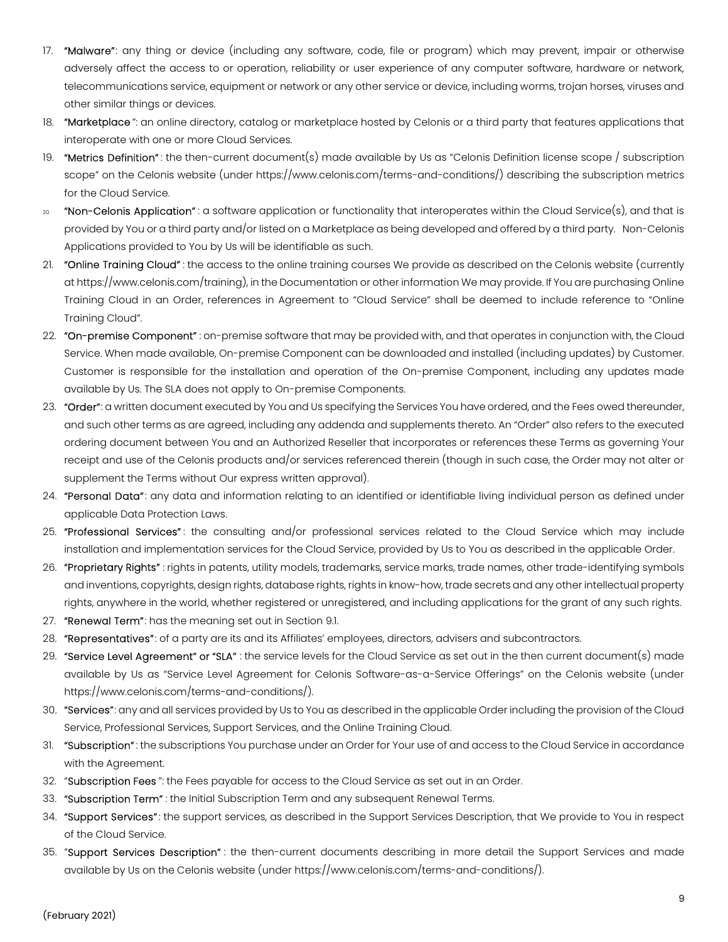- 17. "Malware": any thing or device (including any software, code, file or program) which may prevent, impair or otherwise adversely affect the access to or operation, reliability or user experience of any computer software, hardware or network, telecommunications service, equipment or network or any other service or device, including worms, trojan horses, viruses and other similar things or devices.
- 18. "Marketplace": an online directory, catalog or marketplace hosted by Celonis or a third party that features applications that interoperate with one or more Cloud Services.
- 19. "Metrics Definition": the then-current document(s) made available by Us as "Celonis Definition license scope / subscription scope" on the Celonis website (under https://www.celonis.com/terms-and-conditions/) describing the subscription metrics for the Cloud Service.
- 20. "Non-Celonis Application": a software application or functionality that interoperates within the Cloud Service(s), and that is provided by You or a third party and/or listed on a Marketplace as being developed and offered by a third party. Non-Celonis Applications provided to You by Us will be identifiable as such.
- 21. "Online Training Cloud": the access to the online training courses We provide as described on the Celonis website (currently at https://www.celonis.com/training), in the Documentation or other information We may provide. If You are purchasing Online Training Cloud in an Order, references in Agreement to "Cloud Service" shall be deemed to include reference to "Online Training Cloud".
- 22. "On-premise Component": on-premise software that may be provided with, and that operates in conjunction with, the Cloud Service. When made available, On-premise Component can be downloaded and installed (including updates) by Customer. Customer is responsible for the installation and operation of the On-premise Component, including any updates made available by Us. The SLA does not apply to On-premise Components.
- 23. "Order": a written document executed by You and Us specifying the Services You have ordered, and the Fees owed thereunder, and such other terms as are agreed, including any addenda and supplements thereto. An "Order" also refers to the executed ordering document between You and an Authorized Reseller that incorporates or references these Terms as governing Your receipt and use of the Celonis products and/or services referenced therein (though in such case, the Order may not alter or supplement the Terms without Our express written approval).
- 24. "Personal Data": any data and information relating to an identified or identifiable living individual person as defined under applicable Data Protection Laws.
- 25. "Professional Services": the consulting and/or professional services related to the Cloud Service which may include installation and implementation services for the Cloud Service, provided by Us to You as described in the applicable Order.
- 26. "Proprietary Rights": rights in patents, utility models, trademarks, service marks, trade names, other trade-identifying symbols and inventions, copyrights, design rights, database rights, rights in know-how, trade secrets and any other intellectual property rights, anywhere in the world, whether registered or unregistered, and including applications for the grant of any such rights.
- 27. "Renewal Term": has the meaning set out in Section 9.1.
- 28. "Representatives": of a party are its and its Affiliates' employees, directors, advisers and subcontractors.
- 29. "Service Level Agreement" or "SLA" : the service levels for the Cloud Service as set out in the then current document(s) made available by Us as "Service Level Agreement for Celonis Software-as-a-Service Offerings" on the Celonis website (under https://www.celonis.com/terms-and-conditions/).
- 30. "Services": any and all services provided by Us to You as described in the applicable Order including the provision of the Cloud Service, Professional Services, Support Services, and the Online Training Cloud.
- 31. "Subscription": the subscriptions You purchase under an Order for Your use of and access to the Cloud Service in accordance with the Agreement.
- 32. "Subscription Fees ": the Fees payable for access to the Cloud Service as set out in an Order.
- 33. "Subscription Term" : the Initial Subscription Term and any subsequent Renewal Terms.
- 34. "Support Services": the support services, as described in the Support Services Description, that We provide to You in respect of the Cloud Service.
- 35. "Support Services Description": the then-current documents describing in more detail the Support Services and made available by Us on the Celonis website (under https://www.celonis.com/terms-and-conditions/).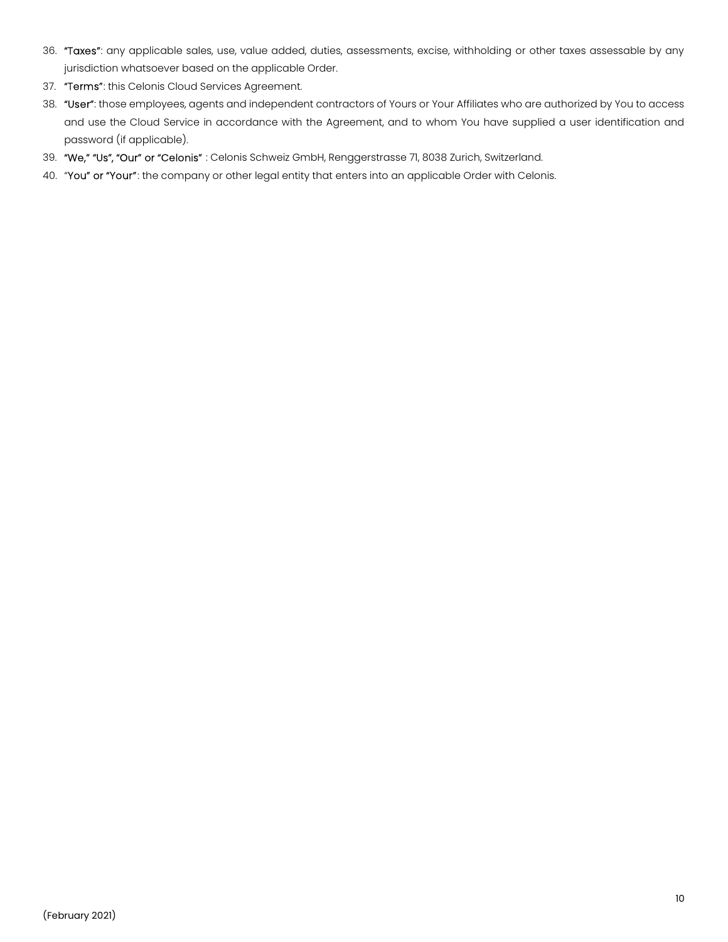- 36. "Taxes": any applicable sales, use, value added, duties, assessments, excise, withholding or other taxes assessable by any jurisdiction whatsoever based on the applicable Order.
- 37. "Terms": this Celonis Cloud Services Agreement.
- 38. "User": those employees, agents and independent contractors of Yours or Your Affiliates who are authorized by You to access and use the Cloud Service in accordance with the Agreement, and to whom You have supplied a user identification and password (if applicable).
- 39. "We," "Us", "Our" or "Celonis" : Celonis Schweiz GmbH, Renggerstrasse 71, 8038 Zurich, Switzerland.
- 40. "You" or "Your": the company or other legal entity that enters into an applicable Order with Celonis.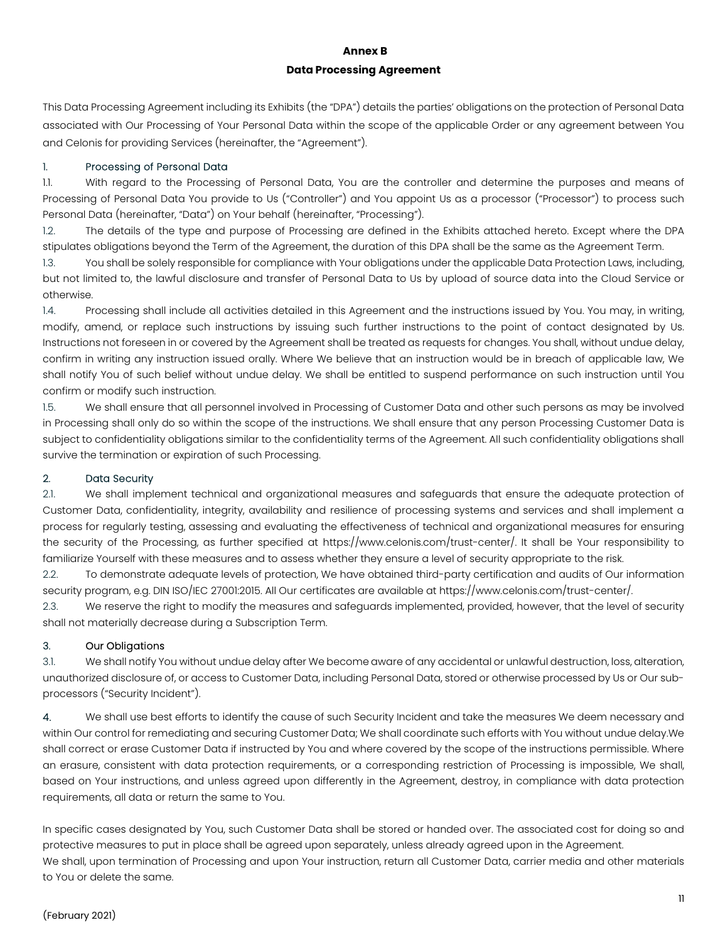# Annex B Data Processing Agreement

This Data Processing Agreement including its Exhibits (the "DPA") details the parties' obligations on the protection of Personal Data associated with Our Processing of Your Personal Data within the scope of the applicable Order or any agreement between You and Celonis for providing Services (hereinafter, the "Agreement").

# 1. Processing of Personal Data

1.1. With regard to the Processing of Personal Data, You are the controller and determine the purposes and means of Processing of Personal Data You provide to Us ("Controller") and You appoint Us as a processor ("Processor") to process such Personal Data (hereinafter, "Data") on Your behalf (hereinafter, "Processing").

1.2. The details of the type and purpose of Processing are defined in the Exhibits attached hereto. Except where the DPA stipulates obligations beyond the Term of the Agreement, the duration of this DPA shall be the same as the Agreement Term.

1.3. You shall be solely responsible for compliance with Your obligations under the applicable Data Protection Laws, including, but not limited to, the lawful disclosure and transfer of Personal Data to Us by upload of source data into the Cloud Service or otherwise.

1.4. Processing shall include all activities detailed in this Agreement and the instructions issued by You. You may, in writing, modify, amend, or replace such instructions by issuing such further instructions to the point of contact designated by Us. Instructions not foreseen in or covered by the Agreement shall be treated as requests for changes. You shall, without undue delay, confirm in writing any instruction issued orally. Where We believe that an instruction would be in breach of applicable law, We shall notify You of such belief without undue delay. We shall be entitled to suspend performance on such instruction until You confirm or modify such instruction.

1.5. We shall ensure that all personnel involved in Processing of Customer Data and other such persons as may be involved in Processing shall only do so within the scope of the instructions. We shall ensure that any person Processing Customer Data is subject to confidentiality obligations similar to the confidentiality terms of the Agreement. All such confidentiality obligations shall survive the termination or expiration of such Processing.

# 2. Data Security

2.1. We shall implement technical and organizational measures and safeguards that ensure the adequate protection of Customer Data, confidentiality, integrity, availability and resilience of processing systems and services and shall implement a process for regularly testing, assessing and evaluating the effectiveness of technical and organizational measures for ensuring the security of the Processing, as further specified at https://www.celonis.com/trust-center/. It shall be Your responsibility to familiarize Yourself with these measures and to assess whether they ensure a level of security appropriate to the risk.

2.2. To demonstrate adequate levels of protection, We have obtained third-party certification and audits of Our information security program, e.g. DIN ISO/IEC 27001:2015. All Our certificates are available at https://www.celonis.com/trust-center/.

2.3. We reserve the right to modify the measures and safeguards implemented, provided, however, that the level of security shall not materially decrease during a Subscription Term.

# 3. Our Obligations

3.1. We shall notify You without undue delay after We become aware of any accidental or unlawful destruction, loss, alteration, unauthorized disclosure of, or access to Customer Data, including Personal Data, stored or otherwise processed by Us or Our subprocessors ("Security Incident").

4. We shall use best efforts to identify the cause of such Security Incident and take the measures We deem necessary and within Our control for remediating and securing Customer Data; We shall coordinate such efforts with You without undue delay.We shall correct or erase Customer Data if instructed by You and where covered by the scope of the instructions permissible. Where an erasure, consistent with data protection requirements, or a corresponding restriction of Processing is impossible, We shall, based on Your instructions, and unless agreed upon differently in the Agreement, destroy, in compliance with data protection requirements, all data or return the same to You.

In specific cases designated by You, such Customer Data shall be stored or handed over. The associated cost for doing so and protective measures to put in place shall be agreed upon separately, unless already agreed upon in the Agreement. We shall, upon termination of Processing and upon Your instruction, return all Customer Data, carrier media and other materials to You or delete the same.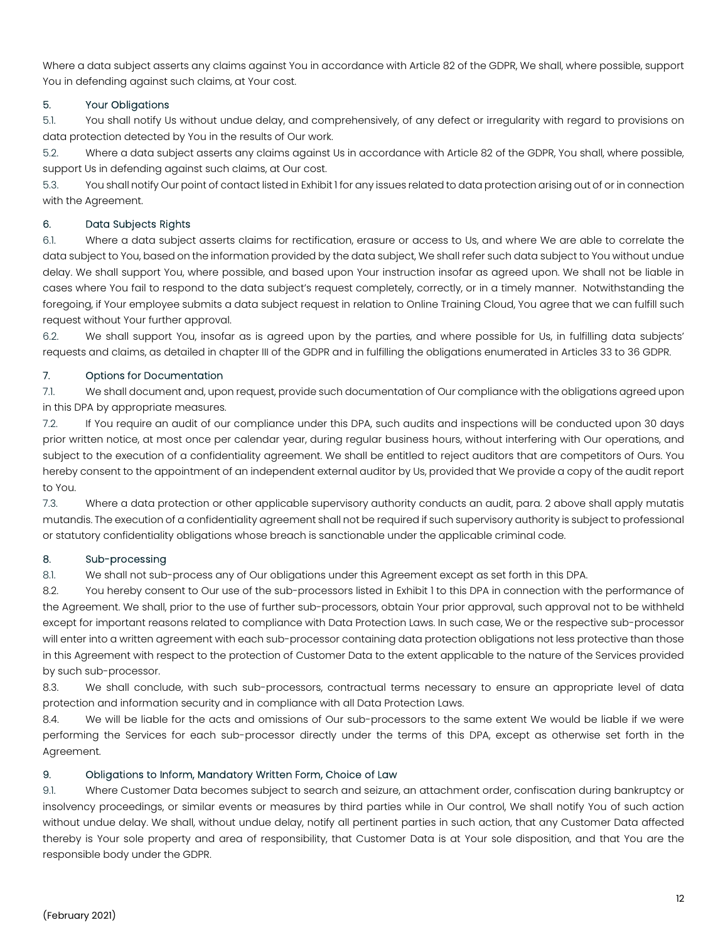Where a data subject asserts any claims against You in accordance with Article 82 of the GDPR, We shall, where possible, support You in defending against such claims, at Your cost.

# 5. Your Obligations

5.1. You shall notify Us without undue delay, and comprehensively, of any defect or irregularity with regard to provisions on data protection detected by You in the results of Our work.

5.2. Where a data subject asserts any claims against Us in accordance with Article 82 of the GDPR, You shall, where possible, support Us in defending against such claims, at Our cost.

5.3. You shall notify Our point of contact listed in Exhibit 1 for any issues related to data protection arising out of or in connection with the Agreement.

# 6. Data Subjects Rights

6.1. Where a data subject asserts claims for rectification, erasure or access to Us, and where We are able to correlate the data subject to You, based on the information provided by the data subject, We shall refer such data subject to You without undue delay. We shall support You, where possible, and based upon Your instruction insofar as agreed upon. We shall not be liable in cases where You fail to respond to the data subject's request completely, correctly, or in a timely manner. Notwithstanding the foregoing, if Your employee submits a data subject request in relation to Online Training Cloud, You agree that we can fulfill such request without Your further approval.

6.2. We shall support You, insofar as is agreed upon by the parties, and where possible for Us, in fulfilling data subjects' requests and claims, as detailed in chapter III of the GDPR and in fulfilling the obligations enumerated in Articles 33 to 36 GDPR.

# 7. Options for Documentation

7.1. We shall document and, upon request, provide such documentation of Our compliance with the obligations agreed upon in this DPA by appropriate measures.

7.2. If You require an audit of our compliance under this DPA, such audits and inspections will be conducted upon 30 days prior written notice, at most once per calendar year, during regular business hours, without interfering with Our operations, and subject to the execution of a confidentiality agreement. We shall be entitled to reject auditors that are competitors of Ours. You hereby consent to the appointment of an independent external auditor by Us, provided that We provide a copy of the audit report to You.

7.3. Where a data protection or other applicable supervisory authority conducts an audit, para. 2 above shall apply mutatis mutandis. The execution of a confidentiality agreement shall not be required if such supervisory authority is subject to professional or statutory confidentiality obligations whose breach is sanctionable under the applicable criminal code.

### 8. Sub-processing

8.1. We shall not sub-process any of Our obligations under this Agreement except as set forth in this DPA.

8.2. You hereby consent to Our use of the sub-processors listed in Exhibit 1 to this DPA in connection with the performance of the Agreement. We shall, prior to the use of further sub-processors, obtain Your prior approval, such approval not to be withheld except for important reasons related to compliance with Data Protection Laws. In such case, We or the respective sub-processor will enter into a written agreement with each sub-processor containing data protection obligations not less protective than those in this Agreement with respect to the protection of Customer Data to the extent applicable to the nature of the Services provided by such sub-processor.

8.3. We shall conclude, with such sub-processors, contractual terms necessary to ensure an appropriate level of data protection and information security and in compliance with all Data Protection Laws.

8.4. We will be liable for the acts and omissions of Our sub-processors to the same extent We would be liable if we were performing the Services for each sub-processor directly under the terms of this DPA, except as otherwise set forth in the Agreement.

### 9. Obligations to Inform, Mandatory Written Form, Choice of Law

9.1. Where Customer Data becomes subject to search and seizure, an attachment order, confiscation during bankruptcy or insolvency proceedings, or similar events or measures by third parties while in Our control, We shall notify You of such action without undue delay. We shall, without undue delay, notify all pertinent parties in such action, that any Customer Data affected thereby is Your sole property and area of responsibility, that Customer Data is at Your sole disposition, and that You are the responsible body under the GDPR.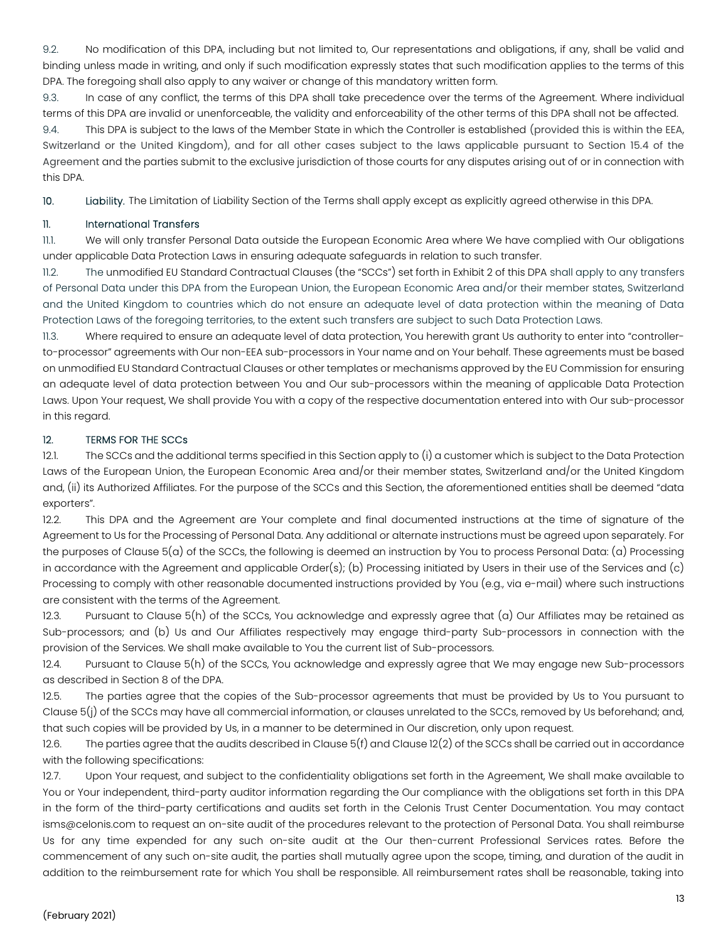9.2. No modification of this DPA, including but not limited to, Our representations and obligations, if any, shall be valid and binding unless made in writing, and only if such modification expressly states that such modification applies to the terms of this DPA. The foregoing shall also apply to any waiver or change of this mandatory written form.

9.3. In case of any conflict, the terms of this DPA shall take precedence over the terms of the Agreement. Where individual terms of this DPA are invalid or unenforceable, the validity and enforceability of the other terms of this DPA shall not be affected. 9.4. This DPA is subject to the laws of the Member State in which the Controller is established (provided this is within the EEA, Switzerland or the United Kingdom), and for all other cases subject to the laws applicable pursuant to Section 15.4 of the Agreement and the parties submit to the exclusive jurisdiction of those courts for any disputes arising out of or in connection with this DPA.

10. Liability. The Limitation of Liability Section of the Terms shall apply except as explicitly agreed otherwise in this DPA.

# 11. International Transfers

11.1. We will only transfer Personal Data outside the European Economic Area where We have complied with Our obligations under applicable Data Protection Laws in ensuring adequate safeguards in relation to such transfer.

11.2. The unmodified EU Standard Contractual Clauses (the "SCCs") set forth in Exhibit 2 of this DPA shall apply to any transfers of Personal Data under this DPA from the European Union, the European Economic Area and/or their member states, Switzerland and the United Kingdom to countries which do not ensure an adequate level of data protection within the meaning of Data Protection Laws of the foregoing territories, to the extent such transfers are subject to such Data Protection Laws.

11.3. Where required to ensure an adequate level of data protection, You herewith grant Us authority to enter into "controllerto-processor" agreements with Our non-EEA sub-processors in Your name and on Your behalf. These agreements must be based on unmodified EU Standard Contractual Clauses or other templates or mechanisms approved by the EU Commission for ensuring an adequate level of data protection between You and Our sub-processors within the meaning of applicable Data Protection Laws. Upon Your request, We shall provide You with a copy of the respective documentation entered into with Our sub-processor in this regard.

# 12. TERMS FOR THE SCCs

12.1. The SCCs and the additional terms specified in this Section apply to (i) a customer which is subject to the Data Protection Laws of the European Union, the European Economic Area and/or their member states, Switzerland and/or the United Kingdom and, (ii) its Authorized Affiliates. For the purpose of the SCCs and this Section, the aforementioned entities shall be deemed "data exporters".

12.2. This DPA and the Agreement are Your complete and final documented instructions at the time of signature of the Agreement to Us for the Processing of Personal Data. Any additional or alternate instructions must be agreed upon separately. For the purposes of Clause 5(a) of the SCCs, the following is deemed an instruction by You to process Personal Data: (a) Processing in accordance with the Agreement and applicable Order(s); (b) Processing initiated by Users in their use of the Services and (c) Processing to comply with other reasonable documented instructions provided by You (e.g., via e-mail) where such instructions are consistent with the terms of the Agreement.

12.3. Pursuant to Clause 5(h) of the SCCs, You acknowledge and expressly agree that (a) Our Affiliates may be retained as Sub-processors; and (b) Us and Our Affiliates respectively may engage third-party Sub-processors in connection with the provision of the Services. We shall make available to You the current list of Sub-processors.

12.4. Pursuant to Clause 5(h) of the SCCs, You acknowledge and expressly agree that We may engage new Sub-processors as described in Section 8 of the DPA.

12.5. The parties agree that the copies of the Sub-processor agreements that must be provided by Us to You pursuant to Clause 5(j) of the SCCs may have all commercial information, or clauses unrelated to the SCCs, removed by Us beforehand; and, that such copies will be provided by Us, in a manner to be determined in Our discretion, only upon request.

12.6. The parties agree that the audits described in Clause 5(f) and Clause 12(2) of the SCCs shall be carried out in accordance with the following specifications:

12.7. Upon Your request, and subject to the confidentiality obligations set forth in the Agreement, We shall make available to You or Your independent, third-party auditor information regarding the Our compliance with the obligations set forth in this DPA in the form of the third-party certifications and audits set forth in the Celonis Trust Center Documentation. You may contact isms@celonis.com to request an on-site audit of the procedures relevant to the protection of Personal Data. You shall reimburse Us for any time expended for any such on-site audit at the Our then-current Professional Services rates. Before the commencement of any such on-site audit, the parties shall mutually agree upon the scope, timing, and duration of the audit in addition to the reimbursement rate for which You shall be responsible. All reimbursement rates shall be reasonable, taking into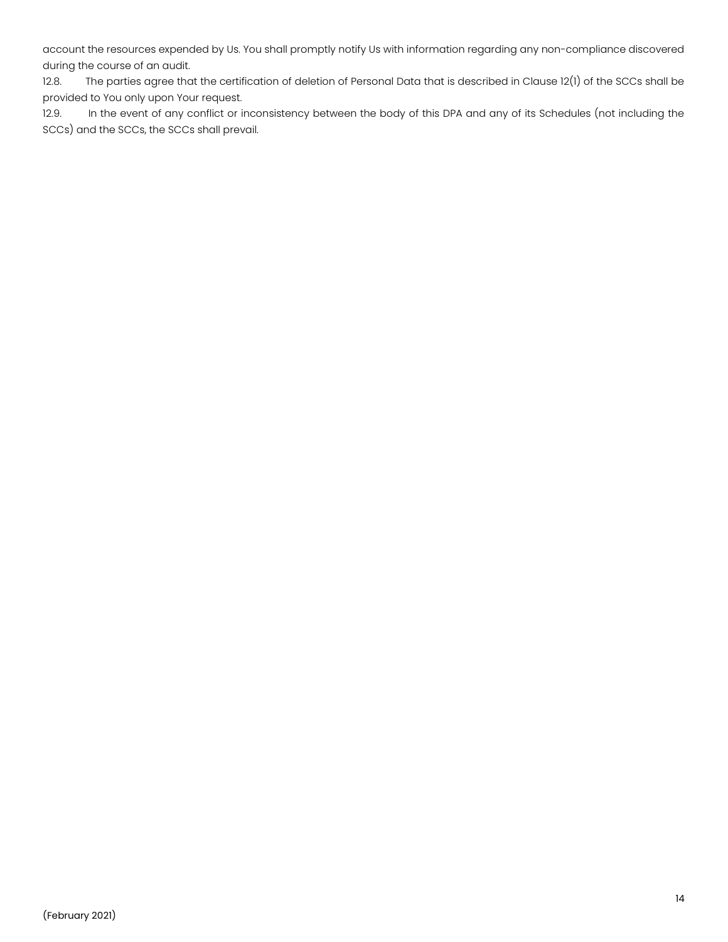account the resources expended by Us. You shall promptly notify Us with information regarding any non-compliance discovered during the course of an audit.

12.8. The parties agree that the certification of deletion of Personal Data that is described in Clause 12(1) of the SCCs shall be provided to You only upon Your request.

12.9. In the event of any conflict or inconsistency between the body of this DPA and any of its Schedules (not including the SCCs) and the SCCs, the SCCs shall prevail.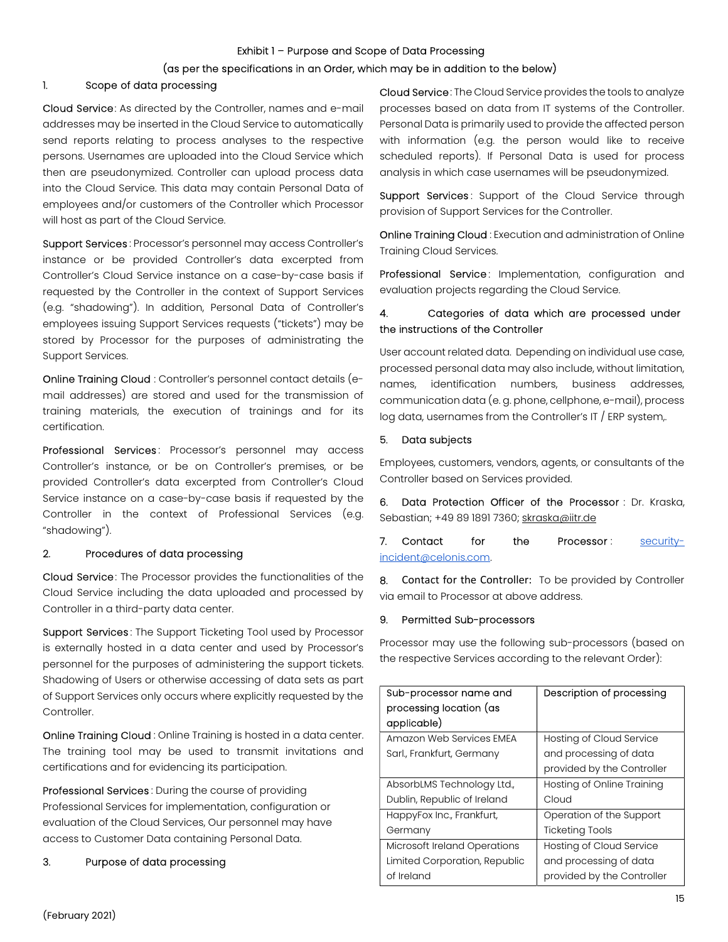### Exhibit 1 – Purpose and Scope of Data Processing

### (as per the specifications in an Order, which may be in addition to the below)

### 1. Scope of data processing

Cloud Service: As directed by the Controller, names and e-mail addresses may be inserted in the Cloud Service to automatically send reports relating to process analyses to the respective persons. Usernames are uploaded into the Cloud Service which then are pseudonymized. Controller can upload process data into the Cloud Service. This data may contain Personal Data of employees and/or customers of the Controller which Processor will host as part of the Cloud Service.

Support Services : Processor's personnel may access Controller's instance or be provided Controller's data excerpted from Controller's Cloud Service instance on a case-by-case basis if requested by the Controller in the context of Support Services (e.g. "shadowing"). In addition, Personal Data of Controller's employees issuing Support Services requests ("tickets") may be stored by Processor for the purposes of administrating the Support Services.

Online Training Cloud : Controller's personnel contact details (email addresses) are stored and used for the transmission of training materials, the execution of trainings and for its certification.

Professional Services: Processor's personnel may access Controller's instance, or be on Controller's premises, or be provided Controller's data excerpted from Controller's Cloud Service instance on a case-by-case basis if requested by the Controller in the context of Professional Services (e.g. "shadowing").

### 2. Procedures of data processing

Cloud Service: The Processor provides the functionalities of the Cloud Service including the data uploaded and processed by Controller in a third-party data center.

Support Services: The Support Ticketing Tool used by Processor is externally hosted in a data center and used by Processor's personnel for the purposes of administering the support tickets. Shadowing of Users or otherwise accessing of data sets as part of Support Services only occurs where explicitly requested by the Controller.

Online Training Cloud : Online Training is hosted in a data center. The training tool may be used to transmit invitations and certifications and for evidencing its participation.

Professional Services : During the course of providing Professional Services for implementation, configuration or evaluation of the Cloud Services, Our personnel may have access to Customer Data containing Personal Data.

### 3. Purpose of data processing

Cloud Service: The Cloud Service provides the tools to analyze processes based on data from IT systems of the Controller. Personal Data is primarily used to provide the affected person with information (e.g. the person would like to receive scheduled reports). If Personal Data is used for process analysis in which case usernames will be pseudonymized.

Support Services: Support of the Cloud Service through provision of Support Services for the Controller.

Online Training Cloud : Execution and administration of Online Training Cloud Services.

Professional Service: Implementation, configuration and evaluation projects regarding the Cloud Service.

# 4. Categories of data which are processed under the instructions of the Controller

User account related data. Depending on individual use case, processed personal data may also include, without limitation, names, identification numbers, business addresses, communication data (e. g. phone, cellphone, e-mail), process log data, usernames from the Controller's IT / ERP system,.

### 5. Data subjects

Employees, customers, vendors, agents, or consultants of the Controller based on Services provided.

6. Data Protection Officer of the Processor : Dr. Kraska, Sebastian; +49 89 1891 7360; skraska@iitr.de

7. Contact for the Processor: securityincident@celonis.com.

8. Contact for the Controller: To be provided by Controller via email to Processor at above address.

### 9. Permitted Sub-processors

Processor may use the following sub-processors (based on the respective Services according to the relevant Order):

| Sub-processor name and        | Description of processing  |
|-------------------------------|----------------------------|
| processing location (as       |                            |
| applicable)                   |                            |
| Amazon Web Services EMEA      | Hosting of Cloud Service   |
| Sarl., Frankfurt, Germany     | and processing of data     |
|                               | provided by the Controller |
| AbsorbLMS Technology Ltd.,    | Hosting of Online Training |
| Dublin, Republic of Ireland   | Cloud                      |
| HappyFox Inc., Frankfurt,     | Operation of the Support   |
| Germany                       | Ticketing Tools            |
| Microsoft Ireland Operations  | Hosting of Cloud Service   |
| Limited Corporation, Republic | and processing of data     |
| of Ireland                    | provided by the Controller |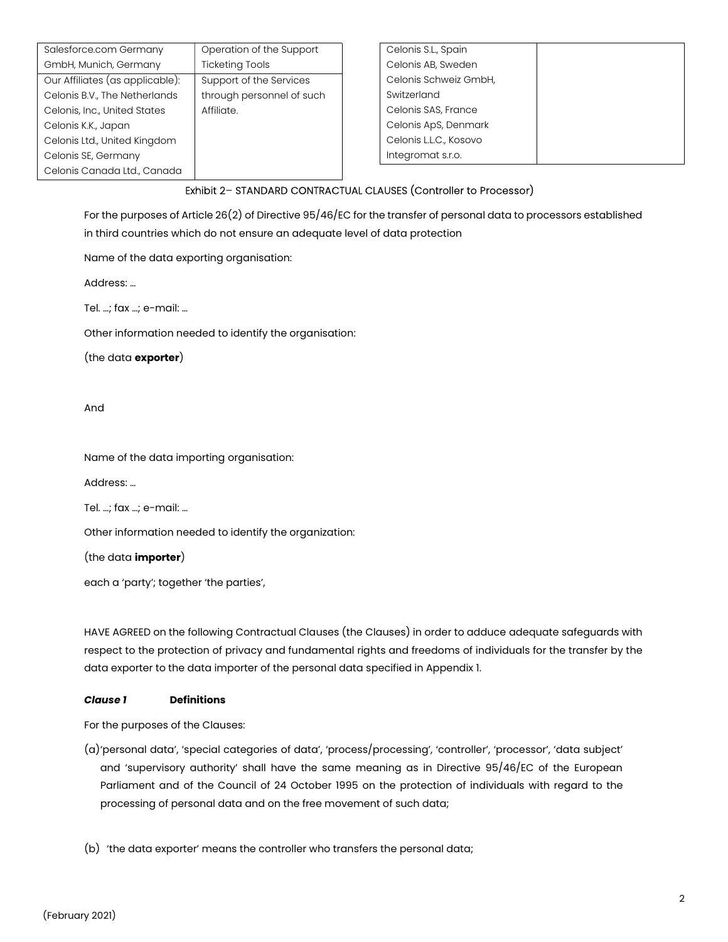| Salesforce.com Germany          | Operation of the Support  | Celonis S.L., Spain    |
|---------------------------------|---------------------------|------------------------|
| GmbH, Munich, Germany           | <b>Ticketing Tools</b>    | Celonis AB, Sweden     |
| Our Affiliates (as applicable): | Support of the Services   | Celonis Schweiz GmbH,  |
| Celonis B.V., The Netherlands   | through personnel of such | Switzerland            |
| Celonis, Inc., United States    | Affiliate.                | Celonis SAS, France    |
| Celonis K.K., Japan             |                           | Celonis ApS, Denmark   |
| Celonis Ltd., United Kingdom    |                           | Celonis L.L.C., Kosovo |
| Celonis SE, Germany             |                           | Integromat s.r.o.      |
| Celonis Canada Ltd., Canada     |                           |                        |

# Exhibit 2– STANDARD CONTRACTUAL CLAUSES (Controller to Processor)

For the purposes of Article 26(2) of Directive 95/46/EC for the transfer of personal data to processors established in third countries which do not ensure an adequate level of data protection

Name of the data exporting organisation:

Address: …

Tel. …; fax …; e-mail: …

Other information needed to identify the organisation:

(the data **exporter**)

And

Name of the data importing organisation:

Address: …

Tel. …; fax …; e-mail: …

Other information needed to identify the organization:

(the data importer)

each a 'party'; together 'the parties',

HAVE AGREED on the following Contractual Clauses (the Clauses) in order to adduce adequate safeguards with respect to the protection of privacy and fundamental rights and freedoms of individuals for the transfer by the data exporter to the data importer of the personal data specified in Appendix 1.

### Clause 1 Definitions

For the purposes of the Clauses:

(a)'personal data', 'special categories of data', 'process/processing', 'controller', 'processor', 'data subject' and 'supervisory authority' shall have the same meaning as in Directive 95/46/EC of the European Parliament and of the Council of 24 October 1995 on the protection of individuals with regard to the processing of personal data and on the free movement of such data;

(b) 'the data exporter' means the controller who transfers the personal data;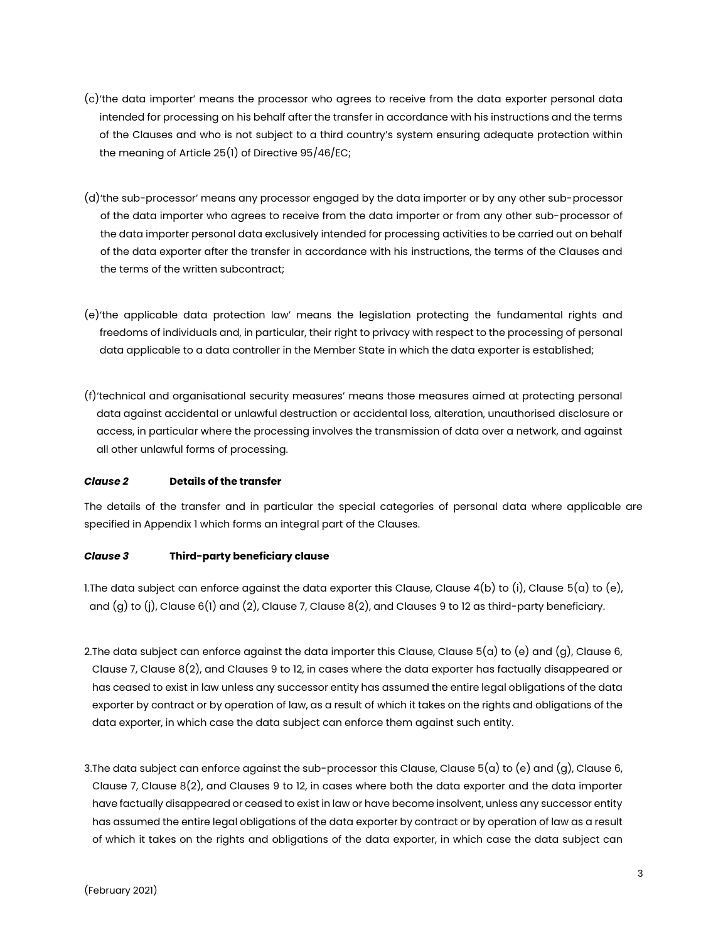- (c)'the data importer' means the processor who agrees to receive from the data exporter personal data intended for processing on his behalf after the transfer in accordance with his instructions and the terms of the Clauses and who is not subject to a third country's system ensuring adequate protection within the meaning of Article 25(1) of Directive 95/46/EC;
- (d)'the sub-processor' means any processor engaged by the data importer or by any other sub-processor of the data importer who agrees to receive from the data importer or from any other sub-processor of the data importer personal data exclusively intended for processing activities to be carried out on behalf of the data exporter after the transfer in accordance with his instructions, the terms of the Clauses and the terms of the written subcontract;
- (e)'the applicable data protection law' means the legislation protecting the fundamental rights and freedoms of individuals and, in particular, their right to privacy with respect to the processing of personal data applicable to a data controller in the Member State in which the data exporter is established;
- (f)'technical and organisational security measures' means those measures aimed at protecting personal data against accidental or unlawful destruction or accidental loss, alteration, unauthorised disclosure or access, in particular where the processing involves the transmission of data over a network, and against all other unlawful forms of processing.

### Clause 2 Details of the transfer

The details of the transfer and in particular the special categories of personal data where applicable are specified in Appendix 1 which forms an integral part of the Clauses.

### Clause 3 Third-party beneficiary clause

1. The data subject can enforce against the data exporter this Clause, Clause  $4(b)$  to (i), Clause  $5(a)$  to (e), and (g) to (j), Clause 6(1) and (2), Clause 7, Clause 8(2), and Clauses 9 to 12 as third-party beneficiary.

- 2.The data subject can enforce against the data importer this Clause, Clause 5(a) to (e) and (g), Clause 6, Clause 7, Clause 8(2), and Clauses 9 to 12, in cases where the data exporter has factually disappeared or has ceased to exist in law unless any successor entity has assumed the entire legal obligations of the data exporter by contract or by operation of law, as a result of which it takes on the rights and obligations of the data exporter, in which case the data subject can enforce them against such entity.
- 3.The data subject can enforce against the sub-processor this Clause, Clause 5(a) to (e) and (g), Clause 6, Clause 7, Clause 8(2), and Clauses 9 to 12, in cases where both the data exporter and the data importer have factually disappeared or ceased to exist in law or have become insolvent, unless any successor entity has assumed the entire legal obligations of the data exporter by contract or by operation of law as a result of which it takes on the rights and obligations of the data exporter, in which case the data subject can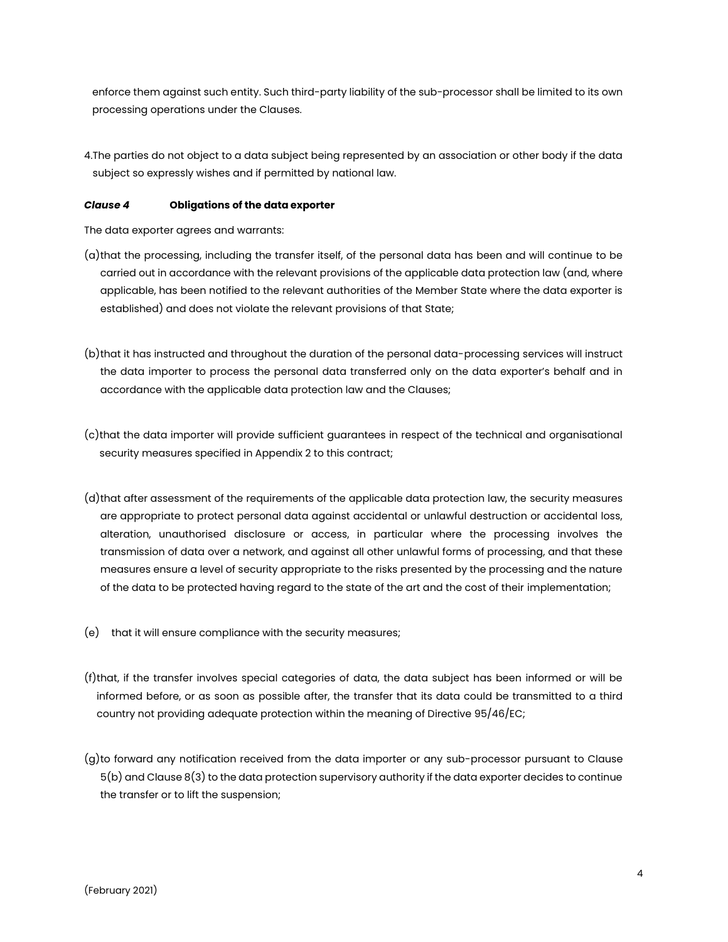enforce them against such entity. Such third-party liability of the sub-processor shall be limited to its own processing operations under the Clauses.

4.The parties do not object to a data subject being represented by an association or other body if the data subject so expressly wishes and if permitted by national law.

### Clause 4 Obligations of the data exporter

The data exporter agrees and warrants:

- (a)that the processing, including the transfer itself, of the personal data has been and will continue to be carried out in accordance with the relevant provisions of the applicable data protection law (and, where applicable, has been notified to the relevant authorities of the Member State where the data exporter is established) and does not violate the relevant provisions of that State;
- (b)that it has instructed and throughout the duration of the personal data-processing services will instruct the data importer to process the personal data transferred only on the data exporter's behalf and in accordance with the applicable data protection law and the Clauses;
- (c)that the data importer will provide sufficient guarantees in respect of the technical and organisational security measures specified in Appendix 2 to this contract;
- (d)that after assessment of the requirements of the applicable data protection law, the security measures are appropriate to protect personal data against accidental or unlawful destruction or accidental loss, alteration, unauthorised disclosure or access, in particular where the processing involves the transmission of data over a network, and against all other unlawful forms of processing, and that these measures ensure a level of security appropriate to the risks presented by the processing and the nature of the data to be protected having regard to the state of the art and the cost of their implementation;
- (e) that it will ensure compliance with the security measures;
- (f)that, if the transfer involves special categories of data, the data subject has been informed or will be informed before, or as soon as possible after, the transfer that its data could be transmitted to a third country not providing adequate protection within the meaning of Directive 95/46/EC;
- (g)to forward any notification received from the data importer or any sub-processor pursuant to Clause 5(b) and Clause 8(3) to the data protection supervisory authority if the data exporter decides to continue the transfer or to lift the suspension;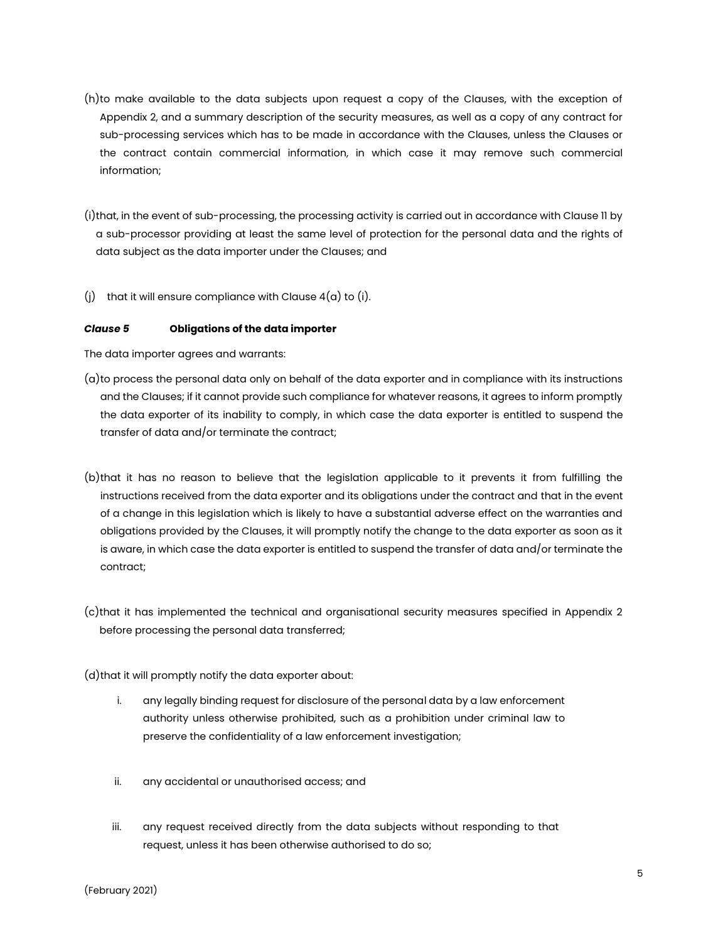- (h)to make available to the data subjects upon request a copy of the Clauses, with the exception of Appendix 2, and a summary description of the security measures, as well as a copy of any contract for sub-processing services which has to be made in accordance with the Clauses, unless the Clauses or the contract contain commercial information, in which case it may remove such commercial information;
- (i)that, in the event of sub-processing, the processing activity is carried out in accordance with Clause 11 by a sub-processor providing at least the same level of protection for the personal data and the rights of data subject as the data importer under the Clauses; and
- (i) that it will ensure compliance with Clause  $4(a)$  to (i).

### Clause 5 Obligations of the data importer

The data importer agrees and warrants:

- (a)to process the personal data only on behalf of the data exporter and in compliance with its instructions and the Clauses; if it cannot provide such compliance for whatever reasons, it agrees to inform promptly the data exporter of its inability to comply, in which case the data exporter is entitled to suspend the transfer of data and/or terminate the contract;
- (b)that it has no reason to believe that the legislation applicable to it prevents it from fulfilling the instructions received from the data exporter and its obligations under the contract and that in the event of a change in this legislation which is likely to have a substantial adverse effect on the warranties and obligations provided by the Clauses, it will promptly notify the change to the data exporter as soon as it is aware, in which case the data exporter is entitled to suspend the transfer of data and/or terminate the contract;
- (c)that it has implemented the technical and organisational security measures specified in Appendix 2 before processing the personal data transferred;

(d)that it will promptly notify the data exporter about:

- i. any legally binding request for disclosure of the personal data by a law enforcement authority unless otherwise prohibited, such as a prohibition under criminal law to preserve the confidentiality of a law enforcement investigation;
- ii. any accidental or unauthorised access; and
- iii. any request received directly from the data subjects without responding to that request, unless it has been otherwise authorised to do so;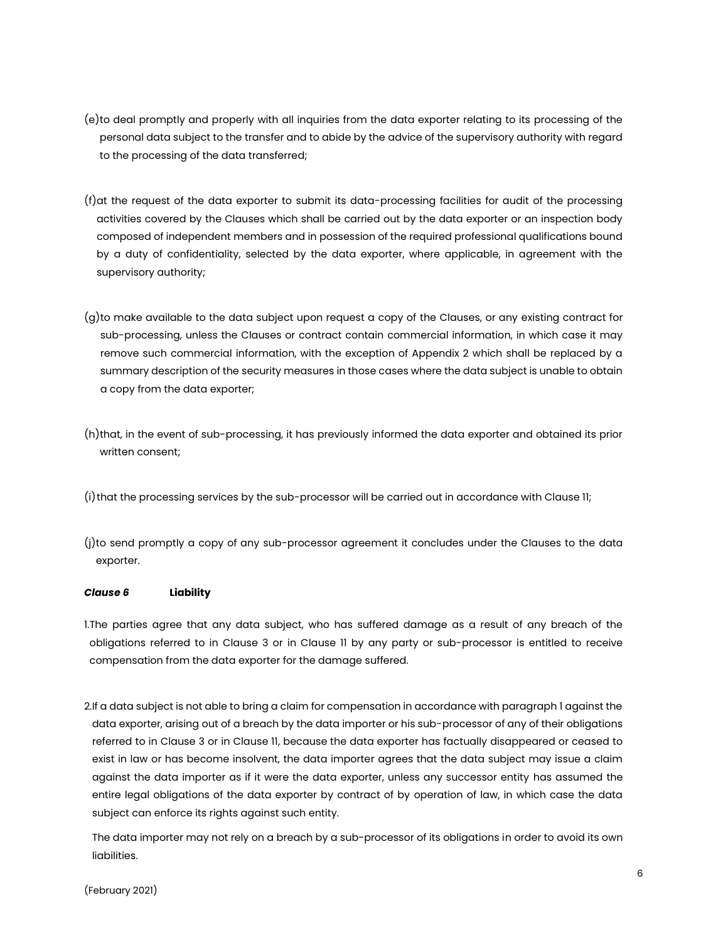- (e)to deal promptly and properly with all inquiries from the data exporter relating to its processing of the personal data subject to the transfer and to abide by the advice of the supervisory authority with regard to the processing of the data transferred;
- (f)at the request of the data exporter to submit its data-processing facilities for audit of the processing activities covered by the Clauses which shall be carried out by the data exporter or an inspection body composed of independent members and in possession of the required professional qualifications bound by a duty of confidentiality, selected by the data exporter, where applicable, in agreement with the supervisory authority;
- (g)to make available to the data subject upon request a copy of the Clauses, or any existing contract for sub-processing, unless the Clauses or contract contain commercial information, in which case it may remove such commercial information, with the exception of Appendix 2 which shall be replaced by a summary description of the security measures in those cases where the data subject is unable to obtain a copy from the data exporter;
- (h)that, in the event of sub-processing, it has previously informed the data exporter and obtained its prior written consent;
- (i)that the processing services by the sub-processor will be carried out in accordance with Clause 11;
- (j)to send promptly a copy of any sub-processor agreement it concludes under the Clauses to the data exporter.

### Clause 6 Liability

- 1.The parties agree that any data subject, who has suffered damage as a result of any breach of the obligations referred to in Clause 3 or in Clause 11 by any party or sub-processor is entitled to receive compensation from the data exporter for the damage suffered.
- 2.If a data subject is not able to bring a claim for compensation in accordance with paragraph 1 against the data exporter, arising out of a breach by the data importer or his sub-processor of any of their obligations referred to in Clause 3 or in Clause 11, because the data exporter has factually disappeared or ceased to exist in law or has become insolvent, the data importer agrees that the data subject may issue a claim against the data importer as if it were the data exporter, unless any successor entity has assumed the entire legal obligations of the data exporter by contract of by operation of law, in which case the data subject can enforce its rights against such entity.
	- The data importer may not rely on a breach by a sub-processor of its obligations in order to avoid its own liabilities.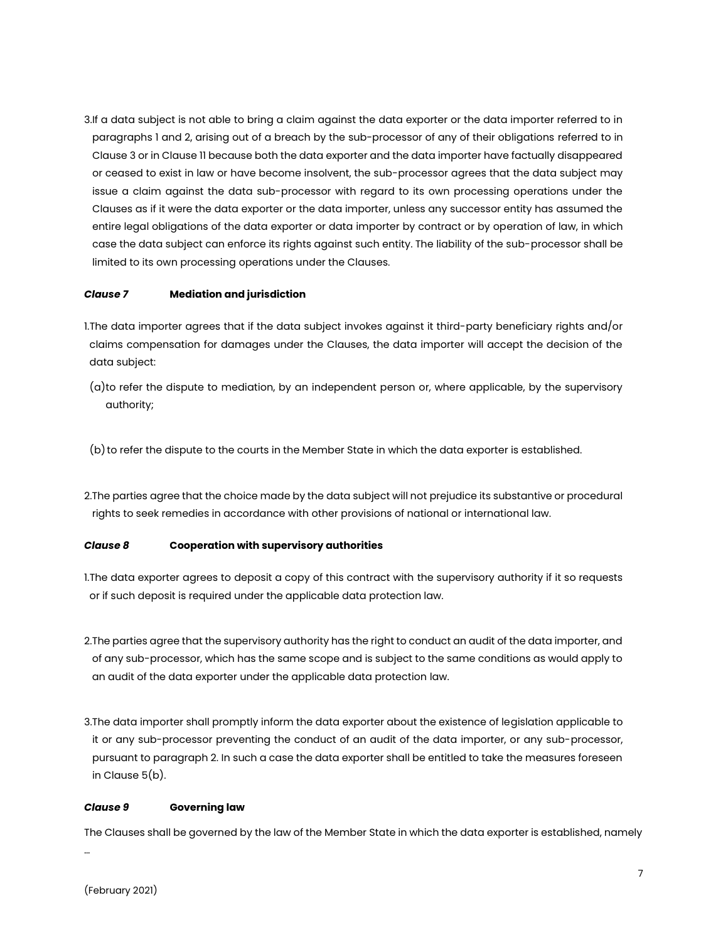3.If a data subject is not able to bring a claim against the data exporter or the data importer referred to in paragraphs 1 and 2, arising out of a breach by the sub-processor of any of their obligations referred to in Clause 3 or in Clause 11 because both the data exporter and the data importer have factually disappeared or ceased to exist in law or have become insolvent, the sub-processor agrees that the data subject may issue a claim against the data sub-processor with regard to its own processing operations under the Clauses as if it were the data exporter or the data importer, unless any successor entity has assumed the entire legal obligations of the data exporter or data importer by contract or by operation of law, in which case the data subject can enforce its rights against such entity. The liability of the sub-processor shall be limited to its own processing operations under the Clauses.

### Clause 7 Mediation and jurisdiction

- 1.The data importer agrees that if the data subject invokes against it third-party beneficiary rights and/or claims compensation for damages under the Clauses, the data importer will accept the decision of the data subject:
- (a)to refer the dispute to mediation, by an independent person or, where applicable, by the supervisory authority;
- (b) to refer the dispute to the courts in the Member State in which the data exporter is established.
- 2.The parties agree that the choice made by the data subject will not prejudice its substantive or procedural rights to seek remedies in accordance with other provisions of national or international law.

### Clause 8 Cooperation with supervisory authorities

- 1.The data exporter agrees to deposit a copy of this contract with the supervisory authority if it so requests or if such deposit is required under the applicable data protection law.
- 2.The parties agree that the supervisory authority has the right to conduct an audit of the data importer, and of any sub-processor, which has the same scope and is subject to the same conditions as would apply to an audit of the data exporter under the applicable data protection law.
- 3.The data importer shall promptly inform the data exporter about the existence of legislation applicable to it or any sub-processor preventing the conduct of an audit of the data importer, or any sub-processor, pursuant to paragraph 2. In such a case the data exporter shall be entitled to take the measures foreseen in Clause 5(b).

### Clause 9 Governing law

The Clauses shall be governed by the law of the Member State in which the data exporter is established, namely …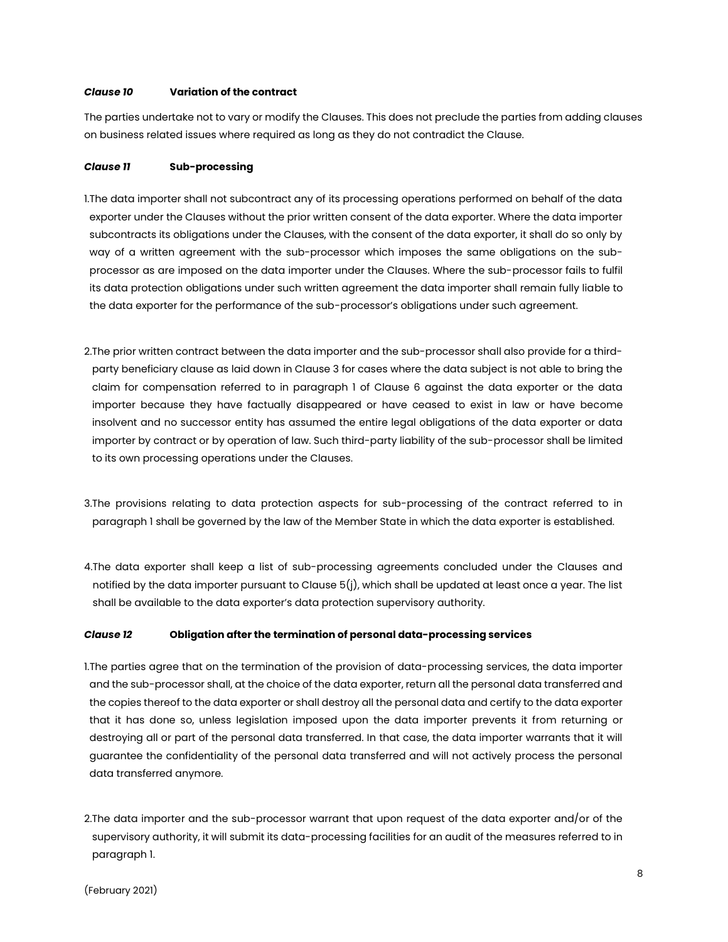#### Clause 10 Variation of the contract

The parties undertake not to vary or modify the Clauses. This does not preclude the parties from adding clauses on business related issues where required as long as they do not contradict the Clause.

#### Clause 11 Sub-processing

- 1.The data importer shall not subcontract any of its processing operations performed on behalf of the data exporter under the Clauses without the prior written consent of the data exporter. Where the data importer subcontracts its obligations under the Clauses, with the consent of the data exporter, it shall do so only by way of a written agreement with the sub-processor which imposes the same obligations on the subprocessor as are imposed on the data importer under the Clauses. Where the sub-processor fails to fulfil its data protection obligations under such written agreement the data importer shall remain fully liable to the data exporter for the performance of the sub-processor's obligations under such agreement.
- 2.The prior written contract between the data importer and the sub-processor shall also provide for a thirdparty beneficiary clause as laid down in Clause 3 for cases where the data subject is not able to bring the claim for compensation referred to in paragraph 1 of Clause 6 against the data exporter or the data importer because they have factually disappeared or have ceased to exist in law or have become insolvent and no successor entity has assumed the entire legal obligations of the data exporter or data importer by contract or by operation of law. Such third-party liability of the sub-processor shall be limited to its own processing operations under the Clauses.
- 3.The provisions relating to data protection aspects for sub-processing of the contract referred to in paragraph 1 shall be governed by the law of the Member State in which the data exporter is established.
- 4.The data exporter shall keep a list of sub-processing agreements concluded under the Clauses and notified by the data importer pursuant to Clause 5(j), which shall be updated at least once a year. The list shall be available to the data exporter's data protection supervisory authority.

### Clause 12 Obligation after the termination of personal data-processing services

- 1.The parties agree that on the termination of the provision of data-processing services, the data importer and the sub-processor shall, at the choice of the data exporter, return all the personal data transferred and the copies thereof to the data exporter or shall destroy all the personal data and certify to the data exporter that it has done so, unless legislation imposed upon the data importer prevents it from returning or destroying all or part of the personal data transferred. In that case, the data importer warrants that it will guarantee the confidentiality of the personal data transferred and will not actively process the personal data transferred anymore.
- 2.The data importer and the sub-processor warrant that upon request of the data exporter and/or of the supervisory authority, it will submit its data-processing facilities for an audit of the measures referred to in paragraph 1.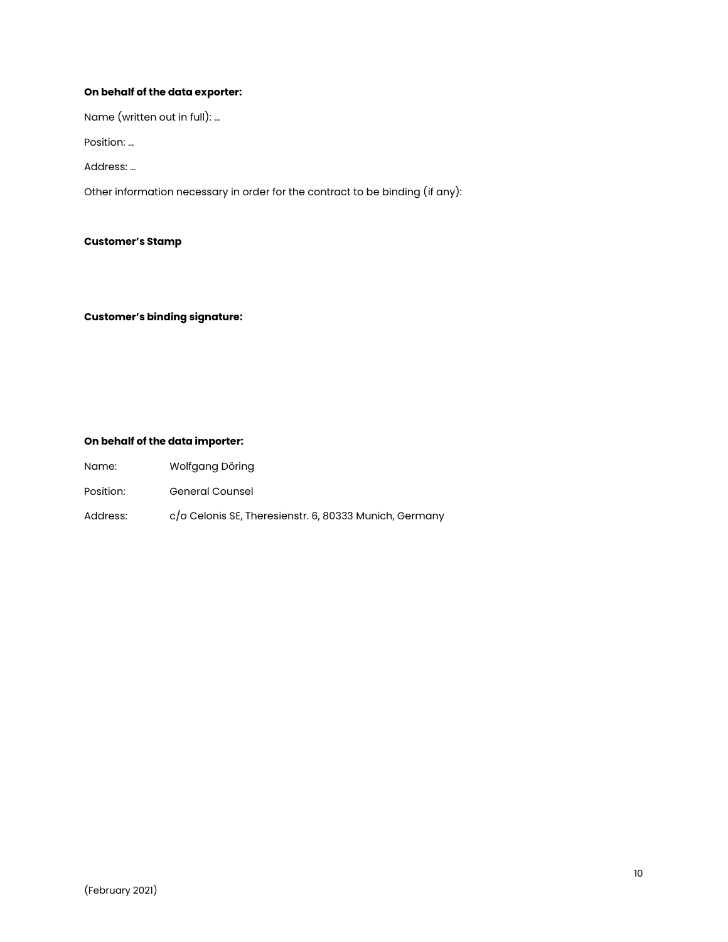# On behalf of the data exporter:

Name (written out in full): …

Position: …

Address: …

Other information necessary in order for the contract to be binding (if any):

### Customer's Stamp

Customer's binding signature:

# On behalf of the data importer:

|  | Name: | Wolfgang Döring |
|--|-------|-----------------|
|--|-------|-----------------|

- Position: General Counsel
- Address: c/o Celonis SE, Theresienstr. 6, 80333 Munich, Germany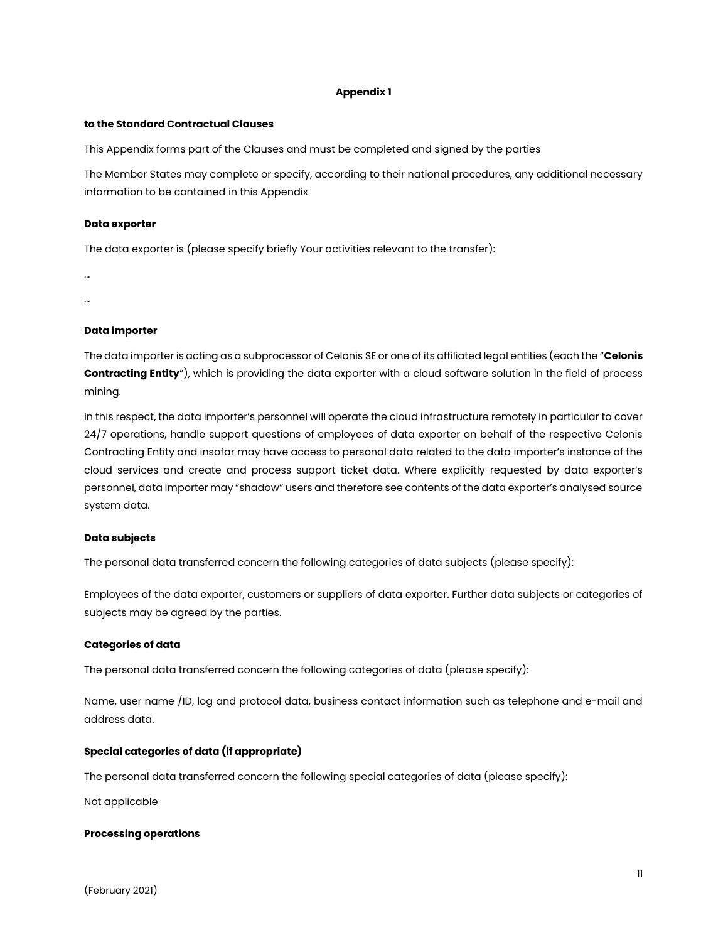#### Appendix 1

#### to the Standard Contractual Clauses

This Appendix forms part of the Clauses and must be completed and signed by the parties

The Member States may complete or specify, according to their national procedures, any additional necessary information to be contained in this Appendix

#### Data exporter

The data exporter is (please specify briefly Your activities relevant to the transfer):

… …

#### Data importer

The data importer is acting as a subprocessor of Celonis SE or one of its affiliated legal entities (each the "Celonis Contracting Entity"), which is providing the data exporter with a cloud software solution in the field of process mining.

In this respect, the data importer's personnel will operate the cloud infrastructure remotely in particular to cover 24/7 operations, handle support questions of employees of data exporter on behalf of the respective Celonis Contracting Entity and insofar may have access to personal data related to the data importer's instance of the cloud services and create and process support ticket data. Where explicitly requested by data exporter's personnel, data importer may "shadow" users and therefore see contents of the data exporter's analysed source system data.

### Data subjects

The personal data transferred concern the following categories of data subjects (please specify):

Employees of the data exporter, customers or suppliers of data exporter. Further data subjects or categories of subjects may be agreed by the parties.

#### Categories of data

The personal data transferred concern the following categories of data (please specify):

Name, user name /ID, log and protocol data, business contact information such as telephone and e-mail and address data.

### Special categories of data (if appropriate)

The personal data transferred concern the following special categories of data (please specify):

Not applicable

### Processing operations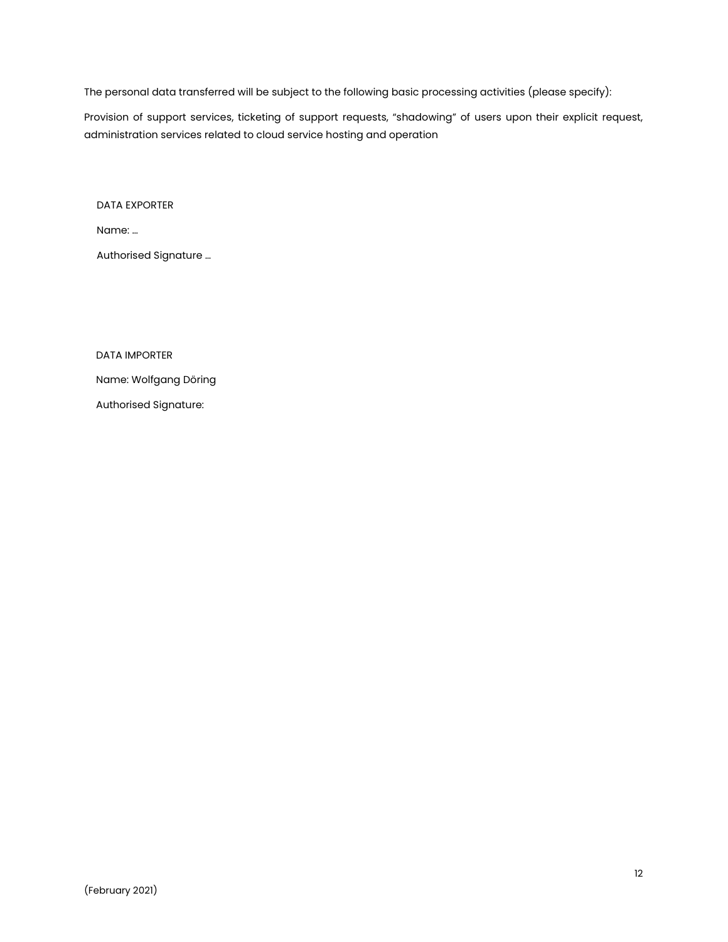The personal data transferred will be subject to the following basic processing activities (please specify):

Provision of support services, ticketing of support requests, "shadowing" of users upon their explicit request, administration services related to cloud service hosting and operation

DATA EXPORTER

Name: …

Authorised Signature …

DATA IMPORTER

Name: Wolfgang Döring

Authorised Signature: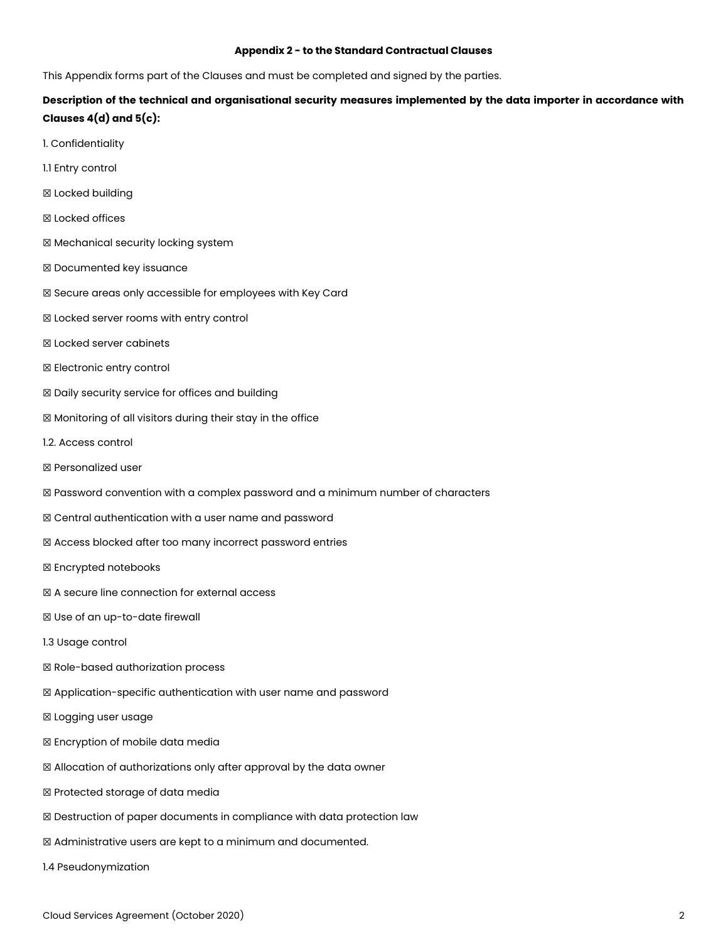#### Appendix 2 - to the Standard Contractual Clauses

This Appendix forms part of the Clauses and must be completed and signed by the parties.

# Description of the technical and organisational security measures implemented by the data importer in accordance with Clauses 4(d) and 5(c):

- 1. Confidentiality
- 1.1 Entry control
- ☒ Locked building
- ☒ Locked offices
- ☒ Mechanical security locking system
- ☒ Documented key issuance
- ☒ Secure areas only accessible for employees with Key Card
- ☒ Locked server rooms with entry control
- ☒ Locked server cabinets
- ☒ Electronic entry control
- ☒ Daily security service for offices and building
- ☒ Monitoring of all visitors during their stay in the office
- 1.2. Access control
- ☒ Personalized user
- ☒ Password convention with a complex password and a minimum number of characters
- ☒ Central authentication with a user name and password
- ☒ Access blocked after too many incorrect password entries
- ☒ Encrypted notebooks
- ☒ A secure line connection for external access
- ☒ Use of an up-to-date firewall
- 1.3 Usage control
- ☒ Role-based authorization process
- ☒ Application-specific authentication with user name and password
- ☒ Logging user usage
- ☒ Encryption of mobile data media
- ☒ Allocation of authorizations only after approval by the data owner
- ☒ Protected storage of data media
- ☒ Destruction of paper documents in compliance with data protection law
- ☒ Administrative users are kept to a minimum and documented.
- 1.4 Pseudonymization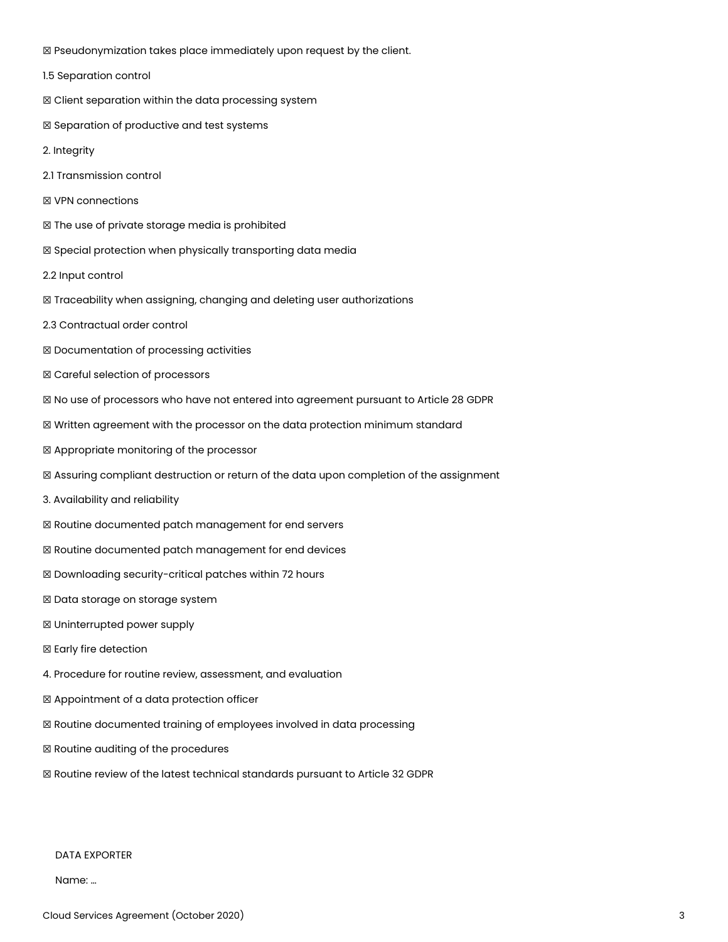☒ Pseudonymization takes place immediately upon request by the client.

1.5 Separation control

☒ Client separation within the data processing system

☒ Separation of productive and test systems

2. Integrity

2.1 Transmission control

☒ VPN connections

☒ The use of private storage media is prohibited

☒ Special protection when physically transporting data media

2.2 Input control

☒ Traceability when assigning, changing and deleting user authorizations

2.3 Contractual order control

☒ Documentation of processing activities

☒ Careful selection of processors

☒ No use of processors who have not entered into agreement pursuant to Article 28 GDPR

☒ Written agreement with the processor on the data protection minimum standard

☒ Appropriate monitoring of the processor

☒ Assuring compliant destruction or return of the data upon completion of the assignment

3. Availability and reliability

☒ Routine documented patch management for end servers

☒ Routine documented patch management for end devices

☒ Downloading security-critical patches within 72 hours

☒ Data storage on storage system

☒ Uninterrupted power supply

☒ Early fire detection

4. Procedure for routine review, assessment, and evaluation

☒ Appointment of a data protection officer

☒ Routine documented training of employees involved in data processing

☒ Routine auditing of the procedures

☒ Routine review of the latest technical standards pursuant to Article 32 GDPR

#### DATA EXPORTER

Name: …